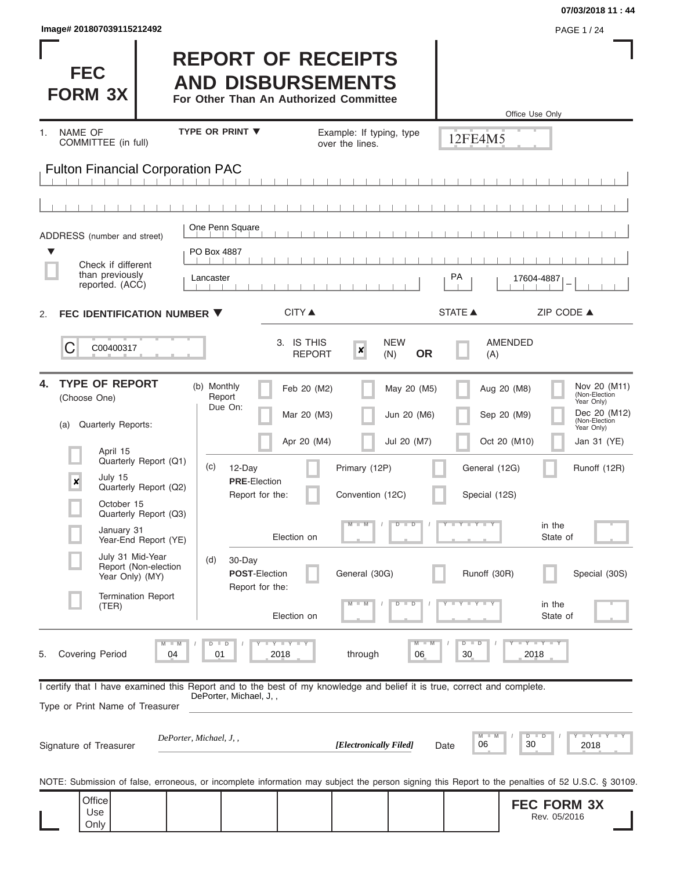| Image# 201807039115212492 | <b>PAGE 1/24</b> |
|---------------------------|------------------|
|---------------------------|------------------|

**FEC FORM 3X**

# **REPORT OF RECEIPTS AND DISBURSEMENTS**

**For Other Than An Authorized Committee**

|                                                                                                                                                            |                                                        |                                |                                                   |                             |                                             |                                |                                | Office Use Only |                                    |                                             |
|------------------------------------------------------------------------------------------------------------------------------------------------------------|--------------------------------------------------------|--------------------------------|---------------------------------------------------|-----------------------------|---------------------------------------------|--------------------------------|--------------------------------|-----------------|------------------------------------|---------------------------------------------|
| <b>NAME OF</b><br>1.<br>COMMITTEE (in full)                                                                                                                |                                                        | <b>TYPE OR PRINT ▼</b>         |                                                   |                             | Example: If typing, type<br>over the lines. |                                | 12FE4M5                        |                 |                                    |                                             |
| <b>Fulton Financial Corporation PAC</b>                                                                                                                    |                                                        |                                |                                                   |                             |                                             |                                |                                |                 |                                    |                                             |
|                                                                                                                                                            |                                                        |                                |                                                   |                             |                                             |                                |                                |                 |                                    |                                             |
| ADDRESS (number and street)                                                                                                                                |                                                        |                                | One Penn Square                                   |                             |                                             |                                |                                |                 |                                    |                                             |
| ▼<br>Check if different<br>than previously<br>reported. (ACC)                                                                                              |                                                        | PO Box 4887<br>Lancaster       |                                                   |                             |                                             |                                | PA                             | 17604-4887      |                                    |                                             |
| FEC IDENTIFICATION NUMBER ▼<br>2.                                                                                                                          |                                                        |                                |                                                   | <b>CITY</b> ▲               |                                             |                                | <b>STATE ▲</b>                 |                 | ZIP CODE ▲                         |                                             |
| C<br>C00400317                                                                                                                                             |                                                        |                                |                                                   | 3. IS THIS<br><b>REPORT</b> | $\boldsymbol{x}$                            | <b>NEW</b><br><b>OR</b><br>(N) | (A)                            | <b>AMENDED</b>  |                                    |                                             |
| <b>TYPE OF REPORT</b><br>4.<br>(Choose One)                                                                                                                |                                                        | (b) Monthly                    | Report<br>Due On:                                 | Feb 20 (M2)                 |                                             | May 20 (M5)                    |                                | Aug 20 (M8)     |                                    | Nov 20 (M11)<br>(Non-Election<br>Year Only) |
| Quarterly Reports:<br>(a)                                                                                                                                  |                                                        |                                |                                                   | Mar 20 (M3)                 |                                             | Jun 20 (M6)                    |                                | Sep 20 (M9)     |                                    | Dec 20 (M12)<br>(Non-Election<br>Year Only) |
| April 15                                                                                                                                                   | Quarterly Report (Q1)                                  | (c)                            |                                                   | Apr 20 (M4)                 |                                             | Jul 20 (M7)                    |                                | Oct 20 (M10)    |                                    | Jan 31 (YE)                                 |
| July 15<br>$\pmb{\times}$                                                                                                                                  | Quarterly Report (Q2)                                  |                                | 12-Day<br><b>PRE</b> Election<br>Report for the:  |                             | Primary (12P)<br>Convention (12C)           |                                | General (12G)<br>Special (12S) |                 |                                    | Runoff (12R)                                |
|                                                                                                                                                            | October 15<br>Quarterly Report (Q3)                    |                                |                                                   |                             | M                                           | ᢧ<br>т                         | Y L Y L                        |                 | in the                             |                                             |
|                                                                                                                                                            | January 31<br>Year-End Report (YE)<br>July 31 Mid-Year |                                |                                                   | Election on                 |                                             |                                |                                |                 | State of                           |                                             |
|                                                                                                                                                            | Report (Non-election<br>Year Only) (MY)                | (d)                            | 30-Day<br><b>POST-Election</b><br>Report for the: |                             | General (30G)                               |                                | Runoff (30R)                   |                 |                                    | Special (30S)                               |
| (TER)                                                                                                                                                      | <b>Termination Report</b>                              |                                |                                                   | Election on                 |                                             | D                              |                                |                 | in the<br>State of                 |                                             |
| Covering Period<br>5.                                                                                                                                      |                                                        | $D$ $D$<br>$M - M$<br>04<br>01 |                                                   | $-Y$ $Y$ $ Y$<br>2018       | through                                     | $M - M$<br>06                  | $D$ $D$<br>30                  | 2018            | $  Y$ $  Y$ $  Y$                  |                                             |
| I certify that I have examined this Report and to the best of my knowledge and belief it is true, correct and complete.<br>Type or Print Name of Treasurer |                                                        |                                | DePorter, Michael, J,,                            |                             |                                             |                                |                                |                 |                                    |                                             |
| Signature of Treasurer                                                                                                                                     |                                                        | DePorter, Michael, J,,         |                                                   |                             | [Electronically Filed]                      |                                | M<br>06<br>Date                | D<br>30         | D                                  | $T - Y$ $T - Y$ $T - Y$<br>2018             |
| NOTE: Submission of false, erroneous, or incomplete information may subject the person signing this Report to the penalties of 52 U.S.C. § 30109.          |                                                        |                                |                                                   |                             |                                             |                                |                                |                 |                                    |                                             |
| Office<br>Use<br>Only                                                                                                                                      |                                                        |                                |                                                   |                             |                                             |                                |                                |                 | <b>FEC FORM 3X</b><br>Rev. 05/2016 |                                             |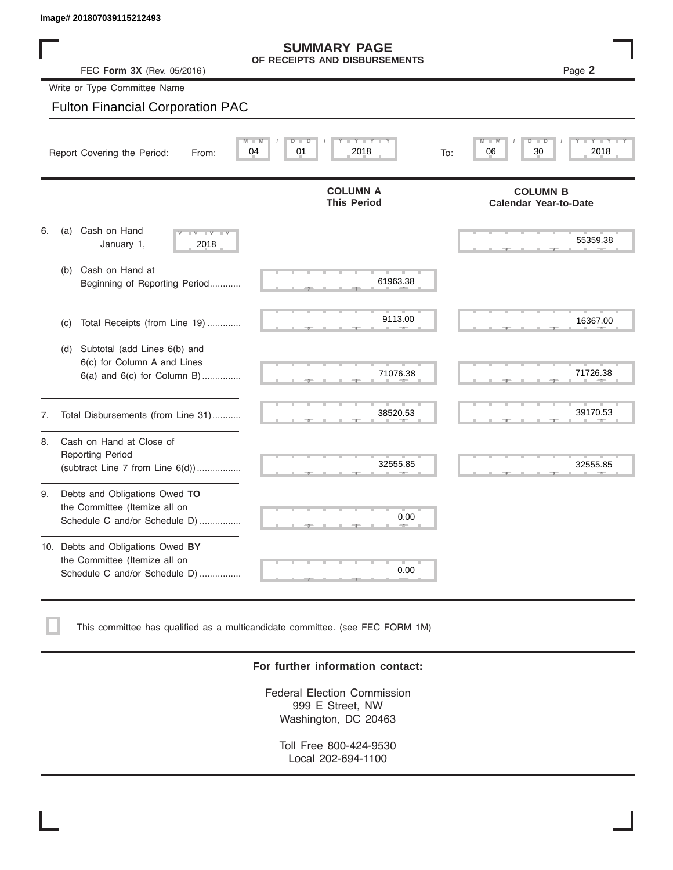| lmage# 201807039115212493                                                                                |                                           |
|----------------------------------------------------------------------------------------------------------|-------------------------------------------|
| <b>SUMMARY PAGE</b><br>OF RECEIPTS AND DISBURSEMENTS                                                     |                                           |
| FEC Form 3X (Rev. 05/2016)                                                                               | Page 2                                    |
| Write or Type Committee Name                                                                             |                                           |
| <b>Fulton Financial Corporation PAC</b>                                                                  |                                           |
| $Y = Y = Y + Y$<br>$M$ $M$<br>$D$ $D$<br>01<br>2018<br>04<br>Report Covering the Period:<br>From:<br>To: | $M = M$<br>$D$ $\Box$<br>2018<br>06<br>30 |

## Write or Type Committee Name

#### Fulton Financial Corporation PAC

|    | 04<br>Report Covering the Period:<br>From:                                                            | $Y = Y$<br>2018<br>01<br>To:          | $Y - Y - Y$<br>2018<br>06<br>30                 |  |  |  |  |  |
|----|-------------------------------------------------------------------------------------------------------|---------------------------------------|-------------------------------------------------|--|--|--|--|--|
|    |                                                                                                       | <b>COLUMN A</b><br><b>This Period</b> | <b>COLUMN B</b><br><b>Calendar Year-to-Date</b> |  |  |  |  |  |
| 6. | Cash on Hand<br>(a)<br><b>LY LY</b><br>January 1,<br>2018                                             |                                       | 55359.38                                        |  |  |  |  |  |
|    | Cash on Hand at<br>(b)<br>Beginning of Reporting Period                                               | 61963.38                              |                                                 |  |  |  |  |  |
|    | Total Receipts (from Line 19)<br>(c)                                                                  | 9113.00                               | 16367.00                                        |  |  |  |  |  |
|    | Subtotal (add Lines 6(b) and<br>(d)<br>6(c) for Column A and Lines<br>$6(a)$ and $6(c)$ for Column B) | 71076.38                              | 71726.38                                        |  |  |  |  |  |
| 7. | Total Disbursements (from Line 31)                                                                    | 38520.53                              | 39170.53                                        |  |  |  |  |  |
| 8. | Cash on Hand at Close of<br>Reporting Period<br>(subtract Line $7$ from Line $6(d)$ )                 | 32555.85                              | 32555.85                                        |  |  |  |  |  |
| 9. | Debts and Obligations Owed TO<br>the Committee (Itemize all on<br>Schedule C and/or Schedule D)       | 0.00                                  |                                                 |  |  |  |  |  |
|    | 10. Debts and Obligations Owed BY<br>the Committee (Itemize all on<br>Schedule C and/or Schedule D)   | 0.00                                  |                                                 |  |  |  |  |  |

This committee has qualified as a multicandidate committee. (see FEC FORM 1M)

#### **For further information contact:**

Federal Election Commission 999 E Street, NW Washington, DC 20463

Toll Free 800-424-9530 Local 202-694-1100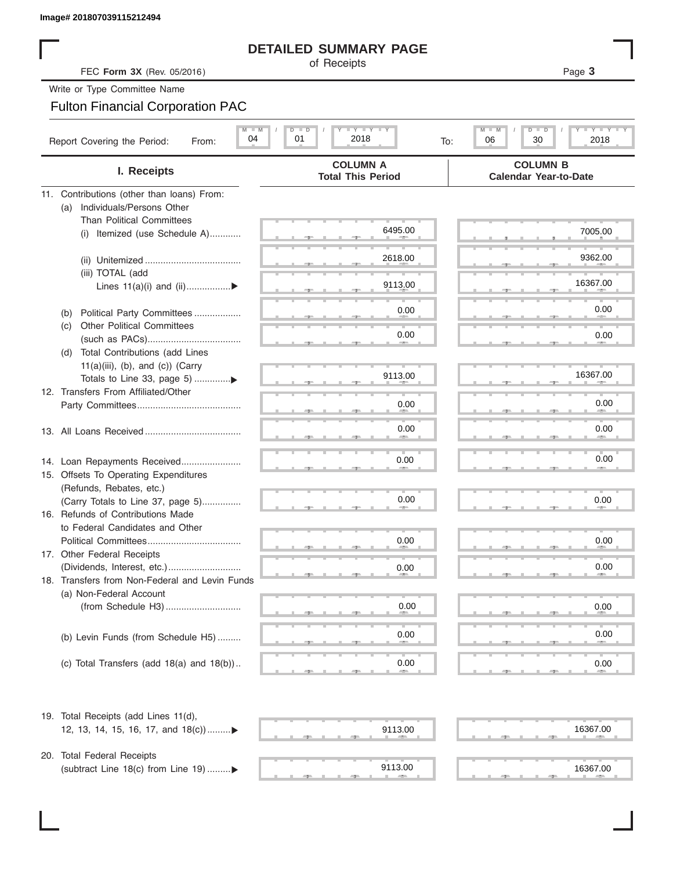### **DETAILED SUMMARY PAGE**

#### Fulton Financial Corporation PAC

| Image# 201807039115212494                                                 |                                                                                                                     |                                                          |
|---------------------------------------------------------------------------|---------------------------------------------------------------------------------------------------------------------|----------------------------------------------------------|
|                                                                           | <b>DETAILED SUMMARY PAGE</b>                                                                                        |                                                          |
| FEC Form 3X (Rev. 05/2016)                                                | of Receipts                                                                                                         | Page 3                                                   |
| Write or Type Committee Name                                              |                                                                                                                     |                                                          |
| <b>Fulton Financial Corporation PAC</b>                                   |                                                                                                                     |                                                          |
| $M$ $M$<br>Report Covering the Period:<br>From:                           | $\mathbf{I}$ $\mathbf{Y}$ $\mathbf{I}$ $\mathbf{Y}$ $\mathbf{I}$ $\mathbf{Y}$<br>$D$ $D$<br>01<br>04<br>2018<br>To: | <b>LEY LEY LE</b><br>M<br>$D$ $\Box$<br>30<br>2018<br>06 |
| I. Receipts                                                               | <b>COLUMN A</b><br><b>Total This Period</b>                                                                         | <b>COLUMN B</b><br><b>Calendar Year-to-Date</b>          |
| 11. Contributions (other than loans) From:                                |                                                                                                                     |                                                          |
| Individuals/Persons Other<br>(a)                                          |                                                                                                                     |                                                          |
| <b>Than Political Committees</b>                                          | 6495.00                                                                                                             | 7005.00                                                  |
| Itemized (use Schedule A)<br>(i)                                          |                                                                                                                     |                                                          |
|                                                                           | 2618.00                                                                                                             | 9362.00                                                  |
| (iii) TOTAL (add                                                          |                                                                                                                     |                                                          |
| Lines $11(a)(i)$ and $(ii)$                                               | 9113.00                                                                                                             | 16367.00                                                 |
|                                                                           |                                                                                                                     |                                                          |
| Political Party Committees<br>(b)                                         | 0.00                                                                                                                | 0.00                                                     |
| <b>Other Political Committees</b><br>(C)                                  | 0.00                                                                                                                | 0.00                                                     |
| Total Contributions (add Lines<br>(d)                                     |                                                                                                                     |                                                          |
| $11(a)(iii)$ , (b), and (c)) (Carry                                       |                                                                                                                     |                                                          |
|                                                                           | 9113.00                                                                                                             | 16367.00                                                 |
| 12. Transfers From Affiliated/Other                                       |                                                                                                                     |                                                          |
|                                                                           | 0.00                                                                                                                | 0.00                                                     |
|                                                                           | 0.00                                                                                                                | 0.00                                                     |
|                                                                           |                                                                                                                     |                                                          |
|                                                                           |                                                                                                                     | 0.00                                                     |
| 14. Loan Repayments Received                                              | 0.00                                                                                                                |                                                          |
| 15. Offsets To Operating Expenditures<br>(Refunds, Rebates, etc.)         |                                                                                                                     |                                                          |
| (Carry Totals to Line 37, page 5)                                         | 0.00                                                                                                                | 0.00                                                     |
| 16. Refunds of Contributions Made                                         |                                                                                                                     |                                                          |
| to Federal Candidates and Other                                           |                                                                                                                     |                                                          |
| Political Committees                                                      | 0.00                                                                                                                | 0.00                                                     |
| 17. Other Federal Receipts                                                |                                                                                                                     |                                                          |
|                                                                           | 0.00                                                                                                                | 0.00                                                     |
| 18. Transfers from Non-Federal and Levin Funds<br>(a) Non-Federal Account |                                                                                                                     |                                                          |
|                                                                           | 0.00                                                                                                                | 0.00                                                     |
|                                                                           |                                                                                                                     |                                                          |
| (b) Levin Funds (from Schedule H5)                                        | 0.00                                                                                                                | 0.00                                                     |
|                                                                           |                                                                                                                     |                                                          |
| (c) Total Transfers (add $18(a)$ and $18(b)$ )                            | 0.00                                                                                                                | 0.00                                                     |
| 19. Total Receipts (add Lines 11(d),                                      |                                                                                                                     |                                                          |
| 12, 13, 14, 15, 16, 17, and 18(c))▶                                       | 9113.00                                                                                                             | 16367.00                                                 |
| 20. Total Federal Receipts                                                |                                                                                                                     |                                                          |
| (subtract Line 18(c) from Line 19)▶                                       | 9113.00                                                                                                             | 16367.00                                                 |

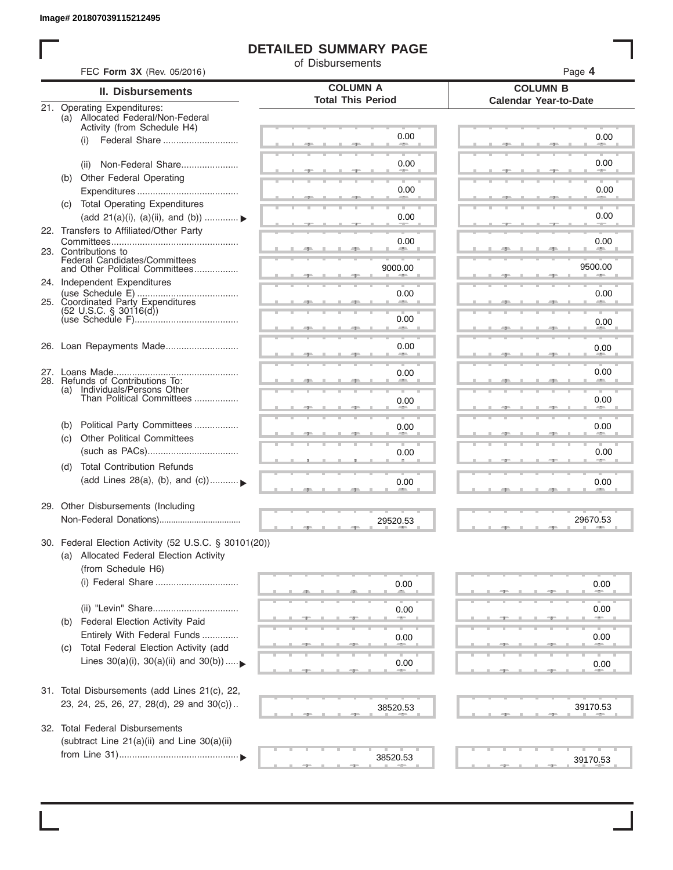### **DETAILED SUMMARY PAGE**

of Disbursements

|     | <b>II. Disbursements</b>                                                                | <b>COLUMN A</b><br><b>Total This Period</b> | <b>COLUMN B</b><br><b>Calendar Year-to-Date</b> |
|-----|-----------------------------------------------------------------------------------------|---------------------------------------------|-------------------------------------------------|
|     | 21. Operating Expenditures:<br>(a) Allocated Federal/Non-Federal                        |                                             |                                                 |
|     | Activity (from Schedule H4)                                                             |                                             |                                                 |
|     | (i)                                                                                     | 0.00                                        | 0.00                                            |
|     |                                                                                         |                                             |                                                 |
|     | Non-Federal Share<br>(ii)                                                               | 0.00                                        | 0.00                                            |
|     | (b) Other Federal Operating                                                             |                                             |                                                 |
|     |                                                                                         | 0.00                                        | 0.00                                            |
|     | (c) Total Operating Expenditures                                                        |                                             |                                                 |
|     | (add 21(a)(i), (a)(ii), and (b))                                                        | 0.00                                        | 0.00                                            |
|     | 22. Transfers to Affiliated/Other Party                                                 |                                             |                                                 |
|     |                                                                                         | 0.00<br>and the second state of             | 0.00<br><b>Allen</b>                            |
|     | 23. Contributions to<br>Federal Candidates/Committees<br>and Other Political Committees |                                             |                                                 |
|     |                                                                                         | 9000.00                                     | 9500.00                                         |
|     | 24. Independent Expenditures                                                            |                                             |                                                 |
| 25. | Coordinated Party Expenditures                                                          | 0.00                                        | 0.00                                            |
|     | $(52 \text{ U.S.C. }$ § 30116(d))                                                       |                                             |                                                 |
|     |                                                                                         | 0.00                                        | 0.00                                            |
|     |                                                                                         |                                             |                                                 |
|     | 26. Loan Repayments Made                                                                | 0.00                                        | 0.00                                            |
|     |                                                                                         |                                             |                                                 |
|     | 28. Refunds of Contributions To:                                                        | 0.00                                        | 0.00                                            |
|     | (a) Individuals/Persons Other                                                           |                                             |                                                 |
|     | Than Political Committees                                                               | 0.00                                        | 0.00                                            |
|     |                                                                                         |                                             |                                                 |
| (b) | Political Party Committees                                                              | 0.00                                        | 0.00                                            |
| (C) | <b>Other Political Committees</b>                                                       |                                             |                                                 |
|     |                                                                                         | 0.00                                        | 0.00                                            |
| (d) | <b>Total Contribution Refunds</b>                                                       |                                             |                                                 |
|     | (add Lines 28(a), (b), and (c))                                                         | 0.00                                        | 0.00                                            |
|     |                                                                                         |                                             |                                                 |
|     | 29. Other Disbursements (Including                                                      |                                             |                                                 |
|     |                                                                                         | 29520.53                                    | 29670.53                                        |
|     | 30. Federal Election Activity (52 U.S.C. § 30101(20))                                   |                                             |                                                 |
|     | (a) Allocated Federal Election Activity                                                 |                                             |                                                 |
|     | (from Schedule H6)                                                                      |                                             |                                                 |
|     |                                                                                         | 0.00                                        |                                                 |
|     |                                                                                         |                                             | 0.00                                            |
|     |                                                                                         | 0.00                                        | 0.00                                            |
| (b) | Federal Election Activity Paid                                                          |                                             |                                                 |
|     | Entirely With Federal Funds                                                             |                                             |                                                 |
| (C) | Total Federal Election Activity (add                                                    | 0.00                                        | 0.00                                            |
|     | Lines $30(a)(i)$ , $30(a)(ii)$ and $30(b))$                                             |                                             |                                                 |
|     |                                                                                         | 0.00                                        | 0.00                                            |
|     |                                                                                         |                                             |                                                 |
|     | 31. Total Disbursements (add Lines 21(c), 22,                                           |                                             |                                                 |
|     | 23, 24, 25, 26, 27, 28(d), 29 and 30(c))                                                | 38520.53                                    | 39170.53                                        |
|     | 32. Total Federal Disbursements                                                         |                                             |                                                 |
|     |                                                                                         |                                             |                                                 |
|     | (subtract Line 21(a)(ii) and Line 30(a)(ii)                                             |                                             |                                                 |
|     |                                                                                         | 38520.53                                    | 39170.53                                        |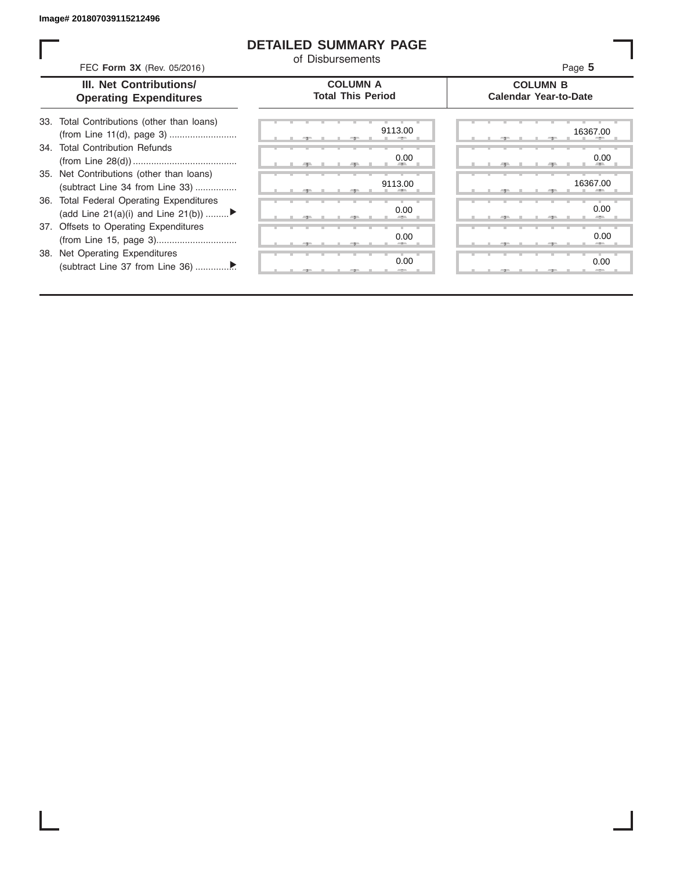#### **DETAILED SUMMARY PAGE**

of Disbursements

| FEC Form 3X (Rev. 05/2016)                                                     | <u>UL DISDUISCIIICIIIS</u>                  | Page 5                                          |
|--------------------------------------------------------------------------------|---------------------------------------------|-------------------------------------------------|
| III. Net Contributions/<br><b>Operating Expenditures</b>                       | <b>COLUMN A</b><br><b>Total This Period</b> | <b>COLUMN B</b><br><b>Calendar Year-to-Date</b> |
| 33. Total Contributions (other than loans)                                     | 9113.00                                     | 16367.00                                        |
| Total Contribution Refunds<br>34.                                              | 0.00                                        | 0.00                                            |
| 35. Net Contributions (other than loans)<br>(subtract Line 34 from Line 33)    | 9113.00                                     | 16367.00                                        |
| 36. Total Federal Operating Expenditures<br>(add Line 21(a)(i) and Line 21(b)) | 0.00                                        | 0.00                                            |
| 37. Offsets to Operating Expenditures                                          | 0.00                                        | 0.00                                            |
| 38. Net Operating Expenditures                                                 | 0.00                                        | 0.00                                            |
|                                                                                |                                             |                                                 |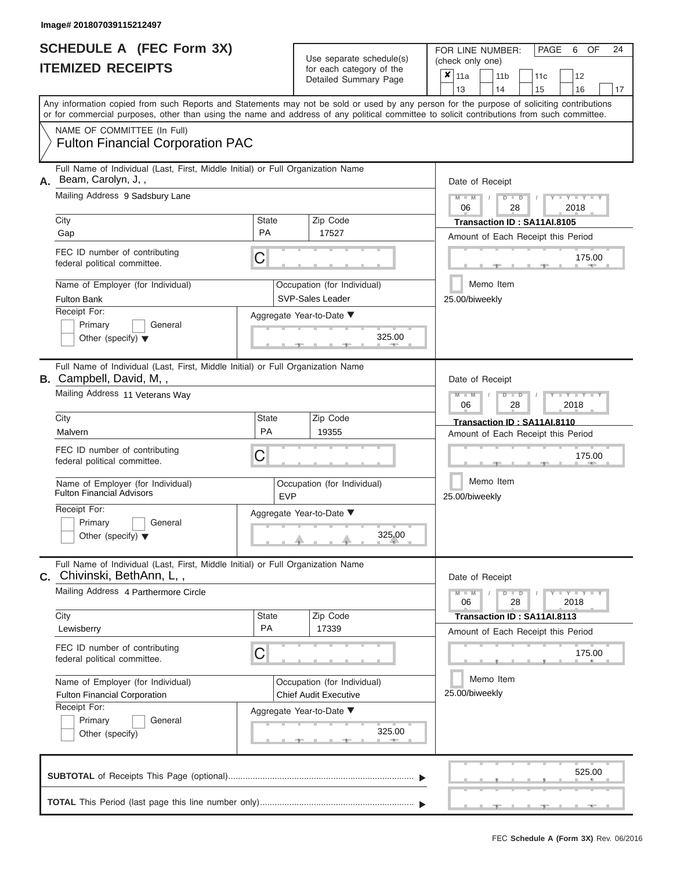|                          | <b>SCHEDULE A (FEC Form 3X)</b> |
|--------------------------|---------------------------------|
| <b>ITEMIZED RECEIPTS</b> |                                 |

FOR LINE NUMBER:<br>(check only one) Use separate schedule(s) (check only one) for each category of the

|    | TEMIZED RECEIPTS                                                                                                                                                                                                                                                                        |                           | for each category of the<br>Detailed Summary Page           | X                           | 11a<br>13                                                                                                          |           | 11 <sub>b</sub><br>14 | 11c<br>15                                                         | 12<br>16 | 17 |  |  |  |  |
|----|-----------------------------------------------------------------------------------------------------------------------------------------------------------------------------------------------------------------------------------------------------------------------------------------|---------------------------|-------------------------------------------------------------|-----------------------------|--------------------------------------------------------------------------------------------------------------------|-----------|-----------------------|-------------------------------------------------------------------|----------|----|--|--|--|--|
|    | Any information copied from such Reports and Statements may not be sold or used by any person for the purpose of soliciting contributions<br>or for commercial purposes, other than using the name and address of any political committee to solicit contributions from such committee. |                           |                                                             |                             |                                                                                                                    |           |                       |                                                                   |          |    |  |  |  |  |
|    | NAME OF COMMITTEE (In Full)<br><b>Fulton Financial Corporation PAC</b>                                                                                                                                                                                                                  |                           |                                                             |                             |                                                                                                                    |           |                       |                                                                   |          |    |  |  |  |  |
| А. | Full Name of Individual (Last, First, Middle Initial) or Full Organization Name<br>Beam, Carolyn, J,,<br>Mailing Address 9 Sadsbury Lane                                                                                                                                                |                           |                                                             |                             | Date of Receipt                                                                                                    |           |                       |                                                                   |          |    |  |  |  |  |
|    | City                                                                                                                                                                                                                                                                                    | <b>State</b>              | Zip Code                                                    |                             | Y I Y I<br>$\overline{D}$<br>2018<br>06<br>28<br>Transaction ID: SA11AI.8105<br>Amount of Each Receipt this Period |           |                       |                                                                   |          |    |  |  |  |  |
|    | Gap                                                                                                                                                                                                                                                                                     | <b>PA</b>                 | 17527                                                       |                             |                                                                                                                    |           |                       |                                                                   |          |    |  |  |  |  |
|    | FEC ID number of contributing<br>federal political committee.                                                                                                                                                                                                                           | С                         |                                                             |                             |                                                                                                                    |           |                       |                                                                   | 175.00   |    |  |  |  |  |
|    | Name of Employer (for Individual)<br><b>Fulton Bank</b>                                                                                                                                                                                                                                 |                           | Occupation (for Individual)<br><b>SVP-Sales Leader</b>      |                             | 25.00/biweekly                                                                                                     | Memo Item |                       |                                                                   |          |    |  |  |  |  |
|    | Receipt For:<br>Primary<br>General<br>Other (specify) $\blacktriangledown$                                                                                                                                                                                                              |                           | Aggregate Year-to-Date ▼<br>325.00                          |                             |                                                                                                                    |           |                       |                                                                   |          |    |  |  |  |  |
|    | Full Name of Individual (Last, First, Middle Initial) or Full Organization Name<br><b>B.</b> Campbell, David, M,,                                                                                                                                                                       |                           | Date of Receipt                                             |                             |                                                                                                                    |           |                       |                                                                   |          |    |  |  |  |  |
|    | Mailing Address 11 Veterans Way                                                                                                                                                                                                                                                         |                           | Y L Y L<br>2018<br>06<br>28                                 |                             |                                                                                                                    |           |                       |                                                                   |          |    |  |  |  |  |
|    | City<br>Malvern                                                                                                                                                                                                                                                                         | <b>State</b><br><b>PA</b> | Zip Code<br>19355                                           |                             | Transaction ID: SA11AI.8110<br>Amount of Each Receipt this Period                                                  |           |                       |                                                                   |          |    |  |  |  |  |
|    | FEC ID number of contributing<br>federal political committee.                                                                                                                                                                                                                           | С                         |                                                             |                             | 175.00<br>Memo Item<br>25.00/biweekly                                                                              |           |                       |                                                                   |          |    |  |  |  |  |
|    | Name of Employer (for Individual)<br><b>Fulton Financial Advisors</b>                                                                                                                                                                                                                   | <b>EVP</b>                | Occupation (for Individual)                                 |                             |                                                                                                                    |           |                       |                                                                   |          |    |  |  |  |  |
|    | Receipt For:<br>Primary<br>General<br>Other (specify) $\blacktriangledown$                                                                                                                                                                                                              |                           | Aggregate Year-to-Date ▼<br>325.00                          |                             |                                                                                                                    |           |                       |                                                                   |          |    |  |  |  |  |
|    | Full Name of Individual (Last, First, Middle Initial) or Full Organization Name<br>C. Chivinski, BethAnn, L,,                                                                                                                                                                           |                           |                                                             |                             | Date of Receipt                                                                                                    |           |                       |                                                                   |          |    |  |  |  |  |
|    | Mailing Address 4 Parthermore Circle                                                                                                                                                                                                                                                    |                           |                                                             |                             | Y I Y I<br>$M - M$<br>D<br>$\blacksquare$<br>2018<br>06<br>28                                                      |           |                       |                                                                   |          |    |  |  |  |  |
|    | City<br>Lewisberry                                                                                                                                                                                                                                                                      | <b>State</b><br>PA        | Zip Code<br>17339                                           |                             |                                                                                                                    |           |                       | Transaction ID: SA11AI.8113<br>Amount of Each Receipt this Period |          |    |  |  |  |  |
|    | FEC ID number of contributing<br>federal political committee.                                                                                                                                                                                                                           | C                         |                                                             |                             | 175.00                                                                                                             |           |                       |                                                                   |          |    |  |  |  |  |
|    | Name of Employer (for Individual)<br><b>Fulton Financial Corporation</b>                                                                                                                                                                                                                |                           | Occupation (for Individual)<br><b>Chief Audit Executive</b> | Memo Item<br>25.00/biweekly |                                                                                                                    |           |                       |                                                                   |          |    |  |  |  |  |
|    | Receipt For:<br>Primary<br>General<br>Other (specify)                                                                                                                                                                                                                                   |                           | Aggregate Year-to-Date ▼<br>325.00                          |                             |                                                                                                                    |           |                       |                                                                   |          |    |  |  |  |  |
|    |                                                                                                                                                                                                                                                                                         |                           |                                                             |                             |                                                                                                                    |           |                       |                                                                   | 525.00   |    |  |  |  |  |
|    |                                                                                                                                                                                                                                                                                         |                           |                                                             |                             |                                                                                                                    |           |                       |                                                                   |          |    |  |  |  |  |

PAGE 6 OF 24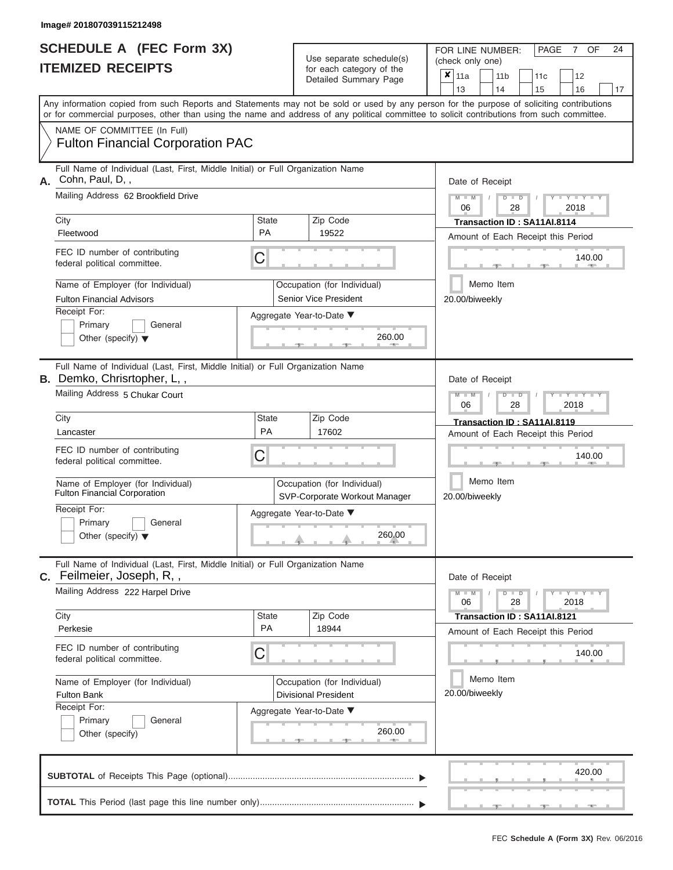L

|    | SCHEDULE A (FEC Form 3X)<br><b>ITEMIZED RECEIPTS</b>                                                                                                                                                                                                                                    | 24<br>FOR LINE NUMBER:<br>PAGE<br><b>OF</b><br>7<br>(check only one)<br>$x _{11a}$<br>11 <sub>b</sub><br>12<br>11 <sub>c</sub><br>13<br>14<br>15<br>16<br>17 |                                                              |                                                                    |  |  |  |  |  |  |  |  |
|----|-----------------------------------------------------------------------------------------------------------------------------------------------------------------------------------------------------------------------------------------------------------------------------------------|--------------------------------------------------------------------------------------------------------------------------------------------------------------|--------------------------------------------------------------|--------------------------------------------------------------------|--|--|--|--|--|--|--|--|
|    | Any information copied from such Reports and Statements may not be sold or used by any person for the purpose of soliciting contributions<br>or for commercial purposes, other than using the name and address of any political committee to solicit contributions from such committee. |                                                                                                                                                              |                                                              |                                                                    |  |  |  |  |  |  |  |  |
|    | NAME OF COMMITTEE (In Full)<br><b>Fulton Financial Corporation PAC</b>                                                                                                                                                                                                                  |                                                                                                                                                              |                                                              |                                                                    |  |  |  |  |  |  |  |  |
| А. | Full Name of Individual (Last, First, Middle Initial) or Full Organization Name<br>Cohn, Paul, D,,                                                                                                                                                                                      |                                                                                                                                                              |                                                              | Date of Receipt                                                    |  |  |  |  |  |  |  |  |
|    | Mailing Address 62 Brookfield Drive                                                                                                                                                                                                                                                     |                                                                                                                                                              |                                                              | $Y - Y - Y - Y - Y$<br>$M - M$<br>$D$ $D$<br>06<br>28<br>2018      |  |  |  |  |  |  |  |  |
|    | City<br>Fleetwood                                                                                                                                                                                                                                                                       | State<br><b>PA</b>                                                                                                                                           | Zip Code<br>19522                                            | Transaction ID: SA11AI.8114<br>Amount of Each Receipt this Period  |  |  |  |  |  |  |  |  |
|    | FEC ID number of contributing<br>federal political committee.                                                                                                                                                                                                                           | C                                                                                                                                                            |                                                              | 140.00                                                             |  |  |  |  |  |  |  |  |
|    | Name of Employer (for Individual)                                                                                                                                                                                                                                                       |                                                                                                                                                              | Occupation (for Individual)                                  | Memo Item                                                          |  |  |  |  |  |  |  |  |
|    | <b>Fulton Financial Advisors</b><br>Receipt For:                                                                                                                                                                                                                                        |                                                                                                                                                              | Senior Vice President<br>Aggregate Year-to-Date ▼            | 20.00/biweekly                                                     |  |  |  |  |  |  |  |  |
|    | Primary<br>General<br>Other (specify) $\blacktriangledown$                                                                                                                                                                                                                              |                                                                                                                                                              | 260.00                                                       |                                                                    |  |  |  |  |  |  |  |  |
|    | Full Name of Individual (Last, First, Middle Initial) or Full Organization Name<br>B. Demko, Chrisrtopher, L,,                                                                                                                                                                          |                                                                                                                                                              |                                                              | Date of Receipt                                                    |  |  |  |  |  |  |  |  |
|    | Mailing Address 5 Chukar Court                                                                                                                                                                                                                                                          |                                                                                                                                                              |                                                              | $T - Y = Y - T Y$<br>$M - M$<br>$D$ $\Box$ $D$<br>06<br>28<br>2018 |  |  |  |  |  |  |  |  |
|    | City                                                                                                                                                                                                                                                                                    | State                                                                                                                                                        | Zip Code                                                     | Transaction ID: SA11AI.8119                                        |  |  |  |  |  |  |  |  |
|    | Lancaster                                                                                                                                                                                                                                                                               | PA                                                                                                                                                           | 17602                                                        | Amount of Each Receipt this Period                                 |  |  |  |  |  |  |  |  |
|    | FEC ID number of contributing<br>federal political committee.                                                                                                                                                                                                                           | С                                                                                                                                                            |                                                              | 140.00                                                             |  |  |  |  |  |  |  |  |
|    | Name of Employer (for Individual)<br><b>Fulton Financial Corporation</b>                                                                                                                                                                                                                |                                                                                                                                                              | Occupation (for Individual)<br>SVP-Corporate Workout Manager | Memo Item<br>20.00/biweekly                                        |  |  |  |  |  |  |  |  |
|    | Receipt For:                                                                                                                                                                                                                                                                            |                                                                                                                                                              | Aggregate Year-to-Date ▼                                     |                                                                    |  |  |  |  |  |  |  |  |
|    | Primary<br>General<br>Other (specify) $\blacktriangledown$                                                                                                                                                                                                                              |                                                                                                                                                              | 260.00                                                       |                                                                    |  |  |  |  |  |  |  |  |
|    | Full Name of Individual (Last, First, Middle Initial) or Full Organization Name<br>C. Feilmeier, Joseph, R,,                                                                                                                                                                            |                                                                                                                                                              |                                                              | Date of Receipt                                                    |  |  |  |  |  |  |  |  |
|    | Mailing Address 222 Harpel Drive                                                                                                                                                                                                                                                        |                                                                                                                                                              |                                                              | $Y - Y - Y - Y - Y$<br>$M - M$<br>$D$ $D$<br>28<br>2018<br>06      |  |  |  |  |  |  |  |  |
|    | City<br>Perkesie                                                                                                                                                                                                                                                                        | State<br>PA                                                                                                                                                  | Zip Code<br>18944                                            | Transaction ID: SA11AI.8121                                        |  |  |  |  |  |  |  |  |
|    | FEC ID number of contributing<br>federal political committee.                                                                                                                                                                                                                           | C                                                                                                                                                            |                                                              | Amount of Each Receipt this Period<br>140.00                       |  |  |  |  |  |  |  |  |
|    | Name of Employer (for Individual)<br><b>Fulton Bank</b>                                                                                                                                                                                                                                 |                                                                                                                                                              | Occupation (for Individual)<br><b>Divisional President</b>   | Memo Item<br>20.00/biweekly                                        |  |  |  |  |  |  |  |  |
|    | Receipt For:                                                                                                                                                                                                                                                                            |                                                                                                                                                              | Aggregate Year-to-Date ▼                                     |                                                                    |  |  |  |  |  |  |  |  |
|    | Primary<br>General<br>Other (specify)                                                                                                                                                                                                                                                   |                                                                                                                                                              | 260.00<br>$1 - 405$                                          |                                                                    |  |  |  |  |  |  |  |  |
|    |                                                                                                                                                                                                                                                                                         | products and control to the control of the con-                                                                                                              |                                                              |                                                                    |  |  |  |  |  |  |  |  |

|  |  |  |  |  | 420.00 |                                                                                                                       |
|--|--|--|--|--|--------|-----------------------------------------------------------------------------------------------------------------------|
|  |  |  |  |  |        |                                                                                                                       |
|  |  |  |  |  |        |                                                                                                                       |
|  |  |  |  |  |        | <b>A second contract and contract and contract of the contract of the contract of the contract of the contract of</b> |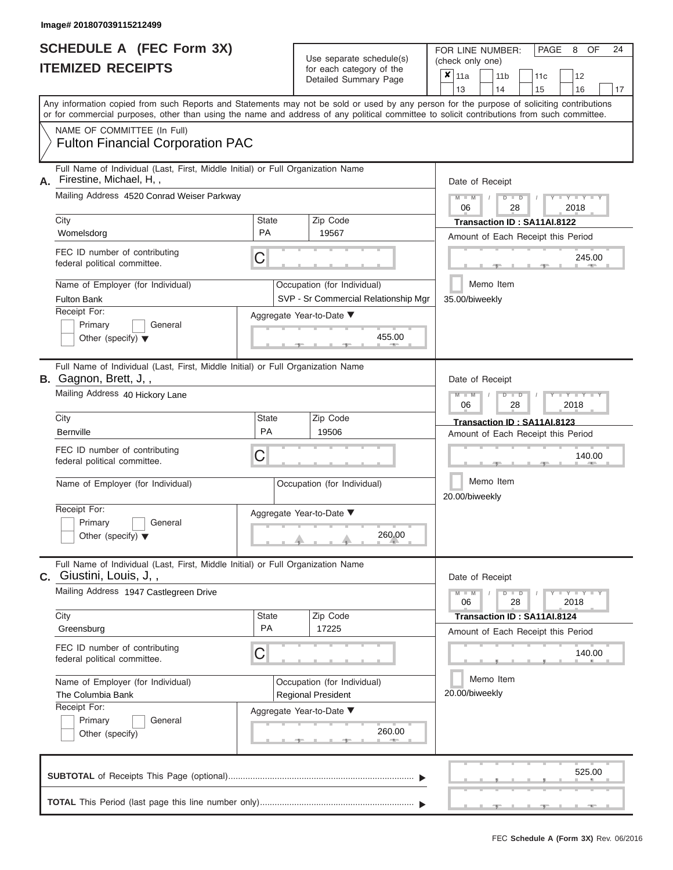|    | Image# 201807039115212499                                                                                                                                                                                                                                                                                              |                                                                               |                             |                                                                     |                |                                                                   |                                         |  |                             |                                    |    |
|----|------------------------------------------------------------------------------------------------------------------------------------------------------------------------------------------------------------------------------------------------------------------------------------------------------------------------|-------------------------------------------------------------------------------|-----------------------------|---------------------------------------------------------------------|----------------|-------------------------------------------------------------------|-----------------------------------------|--|-----------------------------|------------------------------------|----|
|    | <b>SCHEDULE A (FEC Form 3X)</b><br><b>ITEMIZED RECEIPTS</b>                                                                                                                                                                                                                                                            | Use separate schedule(s)<br>for each category of the<br>Detailed Summary Page |                             |                                                                     |                | (check only one)<br>11a                                           | FOR LINE NUMBER:<br>11 <sub>b</sub>     |  | PAGE<br>11c                 | 8 OF<br>12                         | 24 |
|    | Any information copied from such Reports and Statements may not be sold or used by any person for the purpose of soliciting contributions<br>or for commercial purposes, other than using the name and address of any political committee to solicit contributions from such committee.<br>NAME OF COMMITTEE (In Full) |                                                                               |                             |                                                                     | 13             |                                                                   | 14                                      |  | 15                          | 16                                 | 17 |
|    | <b>Fulton Financial Corporation PAC</b><br>Full Name of Individual (Last, First, Middle Initial) or Full Organization Name                                                                                                                                                                                             |                                                                               |                             |                                                                     |                |                                                                   |                                         |  |                             |                                    |    |
| Α. | Firestine, Michael, H,,<br>Mailing Address 4520 Conrad Weiser Parkway                                                                                                                                                                                                                                                  |                                                                               |                             |                                                                     | $M - M$<br>06  |                                                                   | Date of Receipt<br>$D$ $D$<br>28        |  |                             | $Y - Y - Y - Y - Y$<br>2018        |    |
|    | City<br>Womelsdorg                                                                                                                                                                                                                                                                                                     | <b>State</b><br><b>PA</b>                                                     |                             | Zip Code<br>19567                                                   |                |                                                                   |                                         |  | Transaction ID: SA11AI.8122 | Amount of Each Receipt this Period |    |
|    | FEC ID number of contributing<br>federal political committee.                                                                                                                                                                                                                                                          | C                                                                             |                             |                                                                     |                |                                                                   |                                         |  |                             | 245.00                             |    |
|    | Name of Employer (for Individual)<br><b>Fulton Bank</b>                                                                                                                                                                                                                                                                |                                                                               |                             | Occupation (for Individual)<br>SVP - Sr Commercial Relationship Mgr | 35.00/biweekly |                                                                   | Memo Item                               |  |                             |                                    |    |
|    | Receipt For:<br>Primary<br>General<br>Other (specify) $\blacktriangledown$                                                                                                                                                                                                                                             | Aggregate Year-to-Date ▼                                                      |                             |                                                                     |                |                                                                   |                                         |  |                             |                                    |    |
|    | Full Name of Individual (Last, First, Middle Initial) or Full Organization Name<br>B. Gagnon, Brett, J,,<br>Mailing Address 40 Hickory Lane                                                                                                                                                                            |                                                                               |                             |                                                                     | $M - M$<br>06  |                                                                   | Date of Receipt<br>$D$ $\Box$ $D$<br>28 |  |                             | Y TYTTYT<br>2018                   |    |
|    | City<br><b>Bernville</b>                                                                                                                                                                                                                                                                                               | <b>State</b><br>Zip Code<br>PA<br>19506                                       |                             |                                                                     |                | Transaction ID: SA11AI.8123<br>Amount of Each Receipt this Period |                                         |  |                             |                                    |    |
|    | FEC ID number of contributing<br>federal political committee.                                                                                                                                                                                                                                                          | С                                                                             | 140.00                      |                                                                     |                |                                                                   |                                         |  |                             |                                    |    |
|    | Name of Employer (for Individual)                                                                                                                                                                                                                                                                                      | Occupation (for Individual)                                                   | Memo Item<br>20.00/biweekly |                                                                     |                |                                                                   |                                         |  |                             |                                    |    |
|    | Receipt For:<br>Primary<br>General<br>Other (specify) $\blacktriangledown$                                                                                                                                                                                                                                             | Aggregate Year-to-Date $\blacktriangledown$                                   |                             |                                                                     |                |                                                                   |                                         |  |                             |                                    |    |
|    | Full Name of Individual (Last, First, Middle Initial) or Full Organization Name<br>C. Giustini, Louis, J,,                                                                                                                                                                                                             |                                                                               |                             |                                                                     |                |                                                                   | Date of Receipt                         |  |                             |                                    |    |
|    | Mailing Address 1947 Castlegreen Drive<br>City                                                                                                                                                                                                                                                                         | State                                                                         |                             | Zip Code                                                            | $M - M$<br>06  |                                                                   | $D$ $D$<br>28                           |  | Transaction ID: SA11AI.8124 | Y FYLYT<br>2018                    |    |
|    | Greensburg                                                                                                                                                                                                                                                                                                             | <b>PA</b>                                                                     |                             | 17225                                                               |                |                                                                   |                                         |  |                             | Amount of Each Receipt this Period |    |
|    | FEC ID number of contributing<br>federal political committee.                                                                                                                                                                                                                                                          | C                                                                             |                             |                                                                     |                |                                                                   |                                         |  |                             | 140.00                             |    |
|    | Name of Employer (for Individual)<br>The Columbia Bank                                                                                                                                                                                                                                                                 |                                                                               |                             | Occupation (for Individual)<br><b>Regional President</b>            |                | 20.00/biweekly                                                    | Memo Item                               |  |                             |                                    |    |
|    | Receipt For:<br>Primary<br>General<br>Other (specify)                                                                                                                                                                                                                                                                  |                                                                               |                             | Aggregate Year-to-Date ▼<br>260.00<br><b>ALC: NOTE: 1999</b><br>___ |                |                                                                   |                                         |  |                             |                                    |    |

|  |  |  | .                                            |  | 525.00 |  |
|--|--|--|----------------------------------------------|--|--------|--|
|  |  |  | and the contract of the contract of the con- |  |        |  |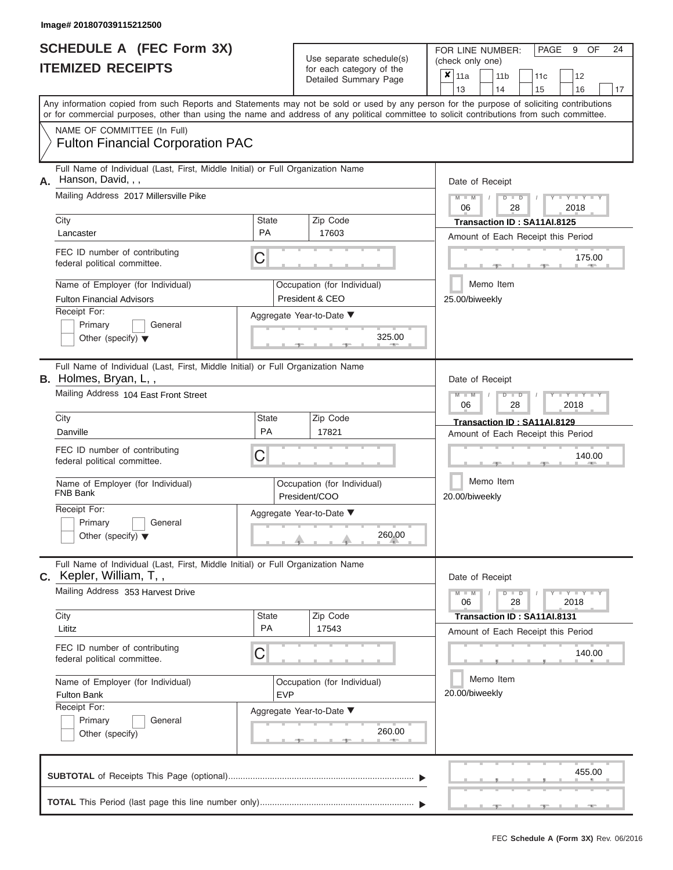|                                                         | <b>SCHEDULE A (FEC Form 3X)</b><br><b>ITEMIZED RECEIPTS</b>                                                                                                                                                                                                                             |                           | Use separate schedule(s)<br>for each category of the<br>Detailed Summary Page | 24<br>PAGE<br>FOR LINE NUMBER:<br>9<br>OF<br>(check only one)<br>$\boldsymbol{\mathsf{x}}$  <br>11a<br>11 <sub>b</sub><br>12<br>11c<br>13<br>14<br>16<br>17<br>15                                                                                                                                                                                                                                                                                                                                                               |  |  |  |  |  |  |
|---------------------------------------------------------|-----------------------------------------------------------------------------------------------------------------------------------------------------------------------------------------------------------------------------------------------------------------------------------------|---------------------------|-------------------------------------------------------------------------------|---------------------------------------------------------------------------------------------------------------------------------------------------------------------------------------------------------------------------------------------------------------------------------------------------------------------------------------------------------------------------------------------------------------------------------------------------------------------------------------------------------------------------------|--|--|--|--|--|--|
|                                                         | Any information copied from such Reports and Statements may not be sold or used by any person for the purpose of soliciting contributions<br>or for commercial purposes, other than using the name and address of any political committee to solicit contributions from such committee. |                           |                                                                               |                                                                                                                                                                                                                                                                                                                                                                                                                                                                                                                                 |  |  |  |  |  |  |
|                                                         | NAME OF COMMITTEE (In Full)<br><b>Fulton Financial Corporation PAC</b>                                                                                                                                                                                                                  |                           |                                                                               |                                                                                                                                                                                                                                                                                                                                                                                                                                                                                                                                 |  |  |  |  |  |  |
| А.                                                      | Full Name of Individual (Last, First, Middle Initial) or Full Organization Name<br>Hanson, David, , ,                                                                                                                                                                                   |                           |                                                                               | Date of Receipt                                                                                                                                                                                                                                                                                                                                                                                                                                                                                                                 |  |  |  |  |  |  |
|                                                         | Mailing Address 2017 Millersville Pike                                                                                                                                                                                                                                                  |                           |                                                                               | $M - M$<br>$D$ $D$<br>$Y = Y$<br>06<br>2018<br>28                                                                                                                                                                                                                                                                                                                                                                                                                                                                               |  |  |  |  |  |  |
|                                                         | City<br>Lancaster                                                                                                                                                                                                                                                                       | <b>State</b><br><b>PA</b> | Zip Code<br>17603                                                             | Transaction ID: SA11AI.8125<br>Amount of Each Receipt this Period                                                                                                                                                                                                                                                                                                                                                                                                                                                               |  |  |  |  |  |  |
|                                                         | FEC ID number of contributing<br>federal political committee.                                                                                                                                                                                                                           | С                         |                                                                               | 175.00                                                                                                                                                                                                                                                                                                                                                                                                                                                                                                                          |  |  |  |  |  |  |
|                                                         | Name of Employer (for Individual)<br><b>Fulton Financial Advisors</b>                                                                                                                                                                                                                   |                           | Occupation (for Individual)<br>President & CEO                                | Memo Item<br>25.00/biweekly                                                                                                                                                                                                                                                                                                                                                                                                                                                                                                     |  |  |  |  |  |  |
|                                                         | Receipt For:<br>Primary<br>General<br>Other (specify) $\blacktriangledown$                                                                                                                                                                                                              |                           | Aggregate Year-to-Date ▼<br>325.00                                            |                                                                                                                                                                                                                                                                                                                                                                                                                                                                                                                                 |  |  |  |  |  |  |
|                                                         | Full Name of Individual (Last, First, Middle Initial) or Full Organization Name<br>B. Holmes, Bryan, L,,                                                                                                                                                                                |                           |                                                                               | Date of Receipt                                                                                                                                                                                                                                                                                                                                                                                                                                                                                                                 |  |  |  |  |  |  |
|                                                         | Mailing Address 104 East Front Street                                                                                                                                                                                                                                                   |                           |                                                                               | $M - M$<br>$D$ $D$<br>Y TYT<br>06<br>2018<br>28                                                                                                                                                                                                                                                                                                                                                                                                                                                                                 |  |  |  |  |  |  |
|                                                         | City<br>Danville                                                                                                                                                                                                                                                                        | <b>State</b><br><b>PA</b> | Zip Code<br>17821                                                             | Transaction ID: SA11AI.8129<br>Amount of Each Receipt this Period                                                                                                                                                                                                                                                                                                                                                                                                                                                               |  |  |  |  |  |  |
|                                                         | FEC ID number of contributing<br>federal political committee.                                                                                                                                                                                                                           | С                         |                                                                               | 140.00                                                                                                                                                                                                                                                                                                                                                                                                                                                                                                                          |  |  |  |  |  |  |
|                                                         | Name of Employer (for Individual)<br><b>FNB Bank</b>                                                                                                                                                                                                                                    |                           | Occupation (for Individual)<br>President/COO                                  | Memo Item<br>20.00/biweekly                                                                                                                                                                                                                                                                                                                                                                                                                                                                                                     |  |  |  |  |  |  |
|                                                         | Receipt For:<br>Primary<br>General<br>Other (specify) $\blacktriangledown$                                                                                                                                                                                                              |                           | Aggregate Year-to-Date ▼<br>260.00                                            |                                                                                                                                                                                                                                                                                                                                                                                                                                                                                                                                 |  |  |  |  |  |  |
|                                                         | Full Name of Individual (Last, First, Middle Initial) or Full Organization Name<br>C. Kepler, William, T,,                                                                                                                                                                              |                           |                                                                               | Date of Receipt                                                                                                                                                                                                                                                                                                                                                                                                                                                                                                                 |  |  |  |  |  |  |
|                                                         | Mailing Address 353 Harvest Drive                                                                                                                                                                                                                                                       |                           |                                                                               | $M - M$<br>$D$ $D$<br>$\begin{array}{c} \begin{array}{c} \text{I} & \text{I} \end{array} & \begin{array}{c} \text{I} & \text{I} \end{array} & \begin{array}{c} \text{I} & \text{I} \end{array} & \begin{array}{c} \text{I} & \text{I} \end{array} & \begin{array}{c} \text{I} & \text{I} \end{array} & \begin{array}{c} \text{I} & \text{I} \end{array} & \begin{array}{c} \text{I} & \text{I} \end{array} & \begin{array}{c} \text{I} & \text{I} \end{array} & \begin{array}{c} \text{I} & \text{I} \end{$<br>06<br>28<br>2018 |  |  |  |  |  |  |
|                                                         | City<br>Lititz                                                                                                                                                                                                                                                                          | <b>State</b><br>PA        | Zip Code<br>17543                                                             | Transaction ID: SA11AI.8131<br>Amount of Each Receipt this Period                                                                                                                                                                                                                                                                                                                                                                                                                                                               |  |  |  |  |  |  |
|                                                         | FEC ID number of contributing<br>federal political committee.                                                                                                                                                                                                                           | С                         |                                                                               | 140.00                                                                                                                                                                                                                                                                                                                                                                                                                                                                                                                          |  |  |  |  |  |  |
| Name of Employer (for Individual)<br><b>Fulton Bank</b> |                                                                                                                                                                                                                                                                                         | <b>EVP</b>                | Occupation (for Individual)                                                   | Memo Item<br>20.00/biweekly                                                                                                                                                                                                                                                                                                                                                                                                                                                                                                     |  |  |  |  |  |  |
|                                                         | Receipt For:<br>Primary<br>General<br>Other (specify)                                                                                                                                                                                                                                   |                           | Aggregate Year-to-Date ▼<br>260.00                                            |                                                                                                                                                                                                                                                                                                                                                                                                                                                                                                                                 |  |  |  |  |  |  |
|                                                         |                                                                                                                                                                                                                                                                                         |                           |                                                                               | 455.00                                                                                                                                                                                                                                                                                                                                                                                                                                                                                                                          |  |  |  |  |  |  |

 ▲ ▲ ▲ , , . **TOTAL** This Period (last page this line number only)............................................................... ▼ ▼

٠ ٠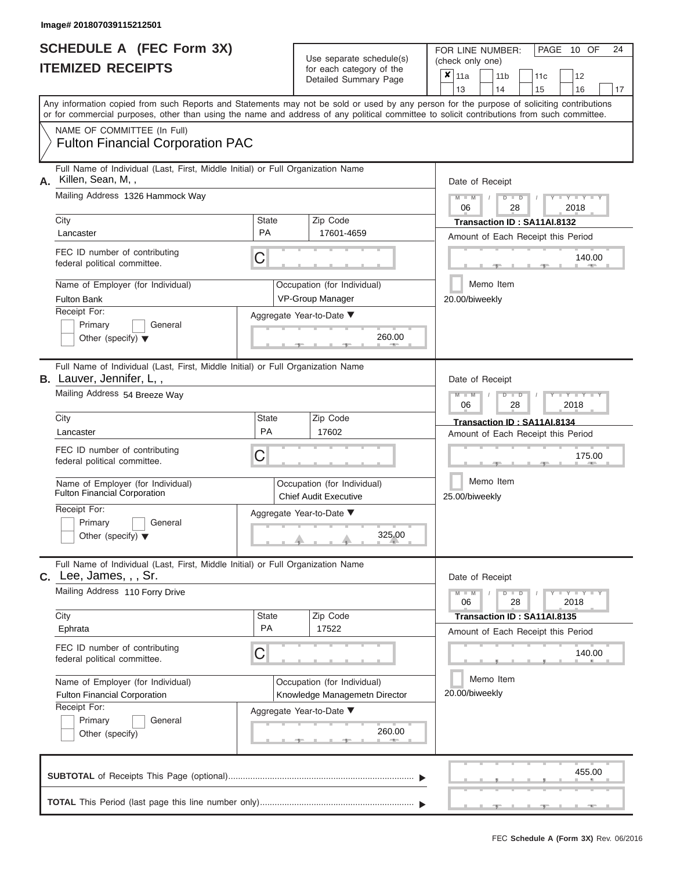|                          | <b>SCHEDULE A (FEC Form 3X)</b> |
|--------------------------|---------------------------------|
| <b>ITEMIZED RECEIPTS</b> |                                 |

FOR LINE NUMBER:<br>(check only one) Use separate schedule(s) (check only one)<br>for each category of the  $\sqrt{2}$ 

|    | <u>IIEMIZED RECEIPIS</u>                                                                                                                                                                                                                                                                |                                    |              | for each category of the<br>Detailed Summary Page            |        | ×<br>11a<br>13              |        |           | 11 <sub>b</sub><br>14 |                           | 11c<br>15                   |  | 12<br>16                           | 17 |  |  |  |
|----|-----------------------------------------------------------------------------------------------------------------------------------------------------------------------------------------------------------------------------------------------------------------------------------------|------------------------------------|--------------|--------------------------------------------------------------|--------|-----------------------------|--------|-----------|-----------------------|---------------------------|-----------------------------|--|------------------------------------|----|--|--|--|
|    | Any information copied from such Reports and Statements may not be sold or used by any person for the purpose of soliciting contributions<br>or for commercial purposes, other than using the name and address of any political committee to solicit contributions from such committee. |                                    |              |                                                              |        |                             |        |           |                       |                           |                             |  |                                    |    |  |  |  |
|    | NAME OF COMMITTEE (In Full)<br><b>Fulton Financial Corporation PAC</b>                                                                                                                                                                                                                  |                                    |              |                                                              |        |                             |        |           |                       |                           |                             |  |                                    |    |  |  |  |
| А. | Full Name of Individual (Last, First, Middle Initial) or Full Organization Name<br>Killen, Sean, M,,                                                                                                                                                                                    |                                    |              |                                                              |        | Date of Receipt             |        |           |                       |                           |                             |  |                                    |    |  |  |  |
|    | Mailing Address 1326 Hammock Way                                                                                                                                                                                                                                                        |                                    |              |                                                              |        | 06                          |        |           |                       | D<br>28                   |                             |  | $Y - Y - I$<br>2018                |    |  |  |  |
|    | City<br>Lancaster<br>FEC ID number of contributing<br>C<br>federal political committee.<br>Name of Employer (for Individual)<br><b>Fulton Bank</b>                                                                                                                                      |                                    | <b>State</b> | Zip Code<br>17601-4659                                       |        |                             |        |           |                       |                           | Transaction ID: SA11AI.8132 |  | Amount of Each Receipt this Period |    |  |  |  |
|    |                                                                                                                                                                                                                                                                                         |                                    |              |                                                              | 140.00 |                             |        |           |                       |                           |                             |  |                                    |    |  |  |  |
|    |                                                                                                                                                                                                                                                                                         |                                    |              | Occupation (for Individual)<br>VP-Group Manager              |        | Memo Item<br>20.00/biweekly |        |           |                       |                           |                             |  |                                    |    |  |  |  |
|    | Receipt For:<br>Primary<br>General<br>Other (specify) $\blacktriangledown$                                                                                                                                                                                                              |                                    |              | Aggregate Year-to-Date ▼<br>260.00                           |        |                             |        |           |                       |                           |                             |  |                                    |    |  |  |  |
|    | Full Name of Individual (Last, First, Middle Initial) or Full Organization Name<br><b>B.</b> Lauver, Jennifer, L,,                                                                                                                                                                      |                                    |              |                                                              |        |                             |        |           | Date of Receipt       |                           |                             |  |                                    |    |  |  |  |
|    | Mailing Address 54 Breeze Way                                                                                                                                                                                                                                                           |                                    |              |                                                              |        | $Y = Y$<br>2018<br>06<br>28 |        |           |                       |                           |                             |  |                                    |    |  |  |  |
|    | City<br>Lancaster                                                                                                                                                                                                                                                                       | <b>State</b><br><b>PA</b>          |              | Zip Code<br>17602                                            |        |                             |        |           |                       |                           | Transaction ID: SA11AI.8134 |  | Amount of Each Receipt this Period |    |  |  |  |
|    | FEC ID number of contributing<br>federal political committee.                                                                                                                                                                                                                           | C                                  |              |                                                              |        |                             | 175.00 |           |                       |                           |                             |  |                                    |    |  |  |  |
|    | Name of Employer (for Individual)<br>Fulton Financial Corporation                                                                                                                                                                                                                       |                                    |              | Memo Item<br>25.00/biweekly                                  |        |                             |        |           |                       |                           |                             |  |                                    |    |  |  |  |
|    | Receipt For:<br>Primary<br>General<br>Other (specify) $\blacktriangledown$                                                                                                                                                                                                              |                                    |              | Aggregate Year-to-Date ▼<br>325.00                           |        |                             |        |           |                       |                           |                             |  |                                    |    |  |  |  |
|    | Full Name of Individual (Last, First, Middle Initial) or Full Organization Name<br>C. Lee, James, , , Sr.                                                                                                                                                                               |                                    |              |                                                              |        | Date of Receipt             |        |           |                       |                           |                             |  |                                    |    |  |  |  |
|    | Mailing Address 110 Forry Drive                                                                                                                                                                                                                                                         |                                    |              |                                                              |        | 06                          |        |           |                       | $\blacksquare$<br>D<br>28 |                             |  | Y I Y I<br>2018                    |    |  |  |  |
|    | City<br>Ephrata                                                                                                                                                                                                                                                                         | State<br>PA                        |              | Zip Code<br>17522                                            |        |                             |        |           |                       |                           | Transaction ID: SA11AI.8135 |  | Amount of Each Receipt this Period |    |  |  |  |
|    | FEC ID number of contributing<br>federal political committee.                                                                                                                                                                                                                           | С                                  |              |                                                              |        |                             |        |           |                       |                           |                             |  | 140.00                             |    |  |  |  |
|    | Name of Employer (for Individual)<br>Fulton Financial Corporation                                                                                                                                                                                                                       |                                    |              | Occupation (for Individual)<br>Knowledge Managemetn Director |        | 20.00/biweekly              |        | Memo Item |                       |                           |                             |  |                                    |    |  |  |  |
|    | Receipt For:<br>Primary<br>General<br>Other (specify)                                                                                                                                                                                                                                   | Aggregate Year-to-Date ▼<br>260.00 |              |                                                              |        |                             |        |           |                       |                           |                             |  |                                    |    |  |  |  |
|    |                                                                                                                                                                                                                                                                                         |                                    |              |                                                              |        |                             |        |           |                       |                           |                             |  | 455.00                             |    |  |  |  |
|    |                                                                                                                                                                                                                                                                                         |                                    |              |                                                              |        |                             |        |           |                       |                           |                             |  |                                    |    |  |  |  |

 ▲ ▲ ▲ , , .

PAGE 10 OF 24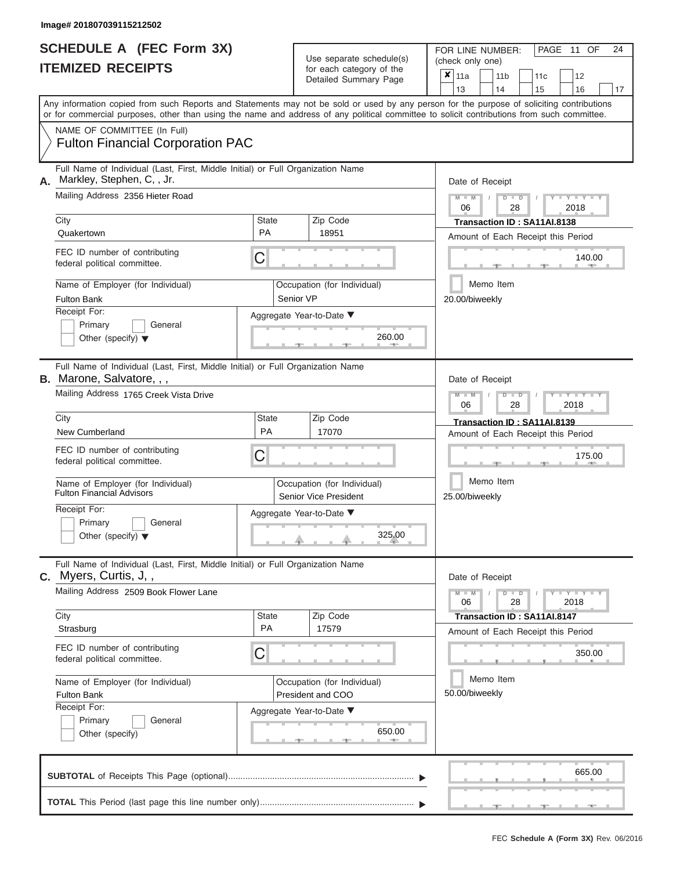| SCHEDULE A (FEC Form 3X) |  |  |
|--------------------------|--|--|
| <b>ITEMIZED RECEIPTS</b> |  |  |

FOR LINE NUMBER:<br>(check only one) Use separate schedule(s)<br>for each category of the

|    |                                                                                                                                                                                                                                                                                         |                                                      |  | badii balogory of lik<br>Detailed Summary Page   |                             | ×                                                                     | 11a<br>13                   |  | 11 <sub>b</sub><br>14 |                      | 11 <sub>c</sub><br>15                                             | 12<br>16                                               |        | 17 |  |  |
|----|-----------------------------------------------------------------------------------------------------------------------------------------------------------------------------------------------------------------------------------------------------------------------------------------|------------------------------------------------------|--|--------------------------------------------------|-----------------------------|-----------------------------------------------------------------------|-----------------------------|--|-----------------------|----------------------|-------------------------------------------------------------------|--------------------------------------------------------|--------|----|--|--|
|    | Any information copied from such Reports and Statements may not be sold or used by any person for the purpose of soliciting contributions<br>or for commercial purposes, other than using the name and address of any political committee to solicit contributions from such committee. |                                                      |  |                                                  |                             |                                                                       |                             |  |                       |                      |                                                                   |                                                        |        |    |  |  |
|    | NAME OF COMMITTEE (In Full)<br><b>Fulton Financial Corporation PAC</b>                                                                                                                                                                                                                  |                                                      |  |                                                  |                             |                                                                       |                             |  |                       |                      |                                                                   |                                                        |        |    |  |  |
| А. | Full Name of Individual (Last, First, Middle Initial) or Full Organization Name<br>Markley, Stephen, C, , Jr.<br>Mailing Address 2356 Hieter Road                                                                                                                                       |                                                      |  |                                                  |                             | Date of Receipt                                                       |                             |  |                       |                      |                                                                   |                                                        |        |    |  |  |
|    |                                                                                                                                                                                                                                                                                         |                                                      |  |                                                  |                             | $M - M$<br>$D$ $D$<br>2018<br>06<br>28<br>Transaction ID: SA11AI.8138 |                             |  |                       |                      |                                                                   |                                                        |        |    |  |  |
|    | City<br>Quakertown                                                                                                                                                                                                                                                                      | <b>State</b><br><b>PA</b>                            |  | Zip Code<br>18951                                |                             |                                                                       |                             |  |                       |                      | Amount of Each Receipt this Period                                |                                                        |        |    |  |  |
|    | FEC ID number of contributing<br>federal political committee.                                                                                                                                                                                                                           | C                                                    |  |                                                  | 140.00                      |                                                                       |                             |  |                       |                      |                                                                   |                                                        |        |    |  |  |
|    | Name of Employer (for Individual)<br><b>Fulton Bank</b>                                                                                                                                                                                                                                 | Senior VP                                            |  | Occupation (for Individual)                      |                             | Memo Item<br>20.00/biweekly                                           |                             |  |                       |                      |                                                                   |                                                        |        |    |  |  |
|    | Receipt For:<br>Primary<br>General<br>Other (specify) $\blacktriangledown$                                                                                                                                                                                                              |                                                      |  | Aggregate Year-to-Date ▼<br>260.00               |                             |                                                                       |                             |  |                       |                      |                                                                   |                                                        |        |    |  |  |
|    | Full Name of Individual (Last, First, Middle Initial) or Full Organization Name<br><b>B.</b> Marone, Salvatore, , ,                                                                                                                                                                     |                                                      |  |                                                  |                             |                                                                       | Date of Receipt             |  |                       |                      |                                                                   |                                                        |        |    |  |  |
|    | Mailing Address 1765 Creek Vista Drive                                                                                                                                                                                                                                                  |                                                      |  | $M - M$<br>$D$ $D$<br>Y TY<br>06<br>2018<br>28   |                             |                                                                       |                             |  |                       |                      |                                                                   |                                                        |        |    |  |  |
|    | City<br>New Cumberland                                                                                                                                                                                                                                                                  | <b>State</b><br>PA                                   |  | Zip Code<br>17070                                |                             | Transaction ID: SA11AI.8139<br>Amount of Each Receipt this Period     |                             |  |                       |                      |                                                                   |                                                        |        |    |  |  |
|    | FEC ID number of contributing<br>C<br>federal political committee.                                                                                                                                                                                                                      |                                                      |  |                                                  |                             |                                                                       | 175.00                      |  |                       |                      |                                                                   |                                                        |        |    |  |  |
|    | Name of Employer (for Individual)<br><b>Fulton Financial Advisors</b>                                                                                                                                                                                                                   | Occupation (for Individual)<br>Senior Vice President |  |                                                  |                             |                                                                       | Memo Item<br>25.00/biweekly |  |                       |                      |                                                                   |                                                        |        |    |  |  |
|    | Receipt For:<br>Primary<br>General<br>Other (specify) $\blacktriangledown$                                                                                                                                                                                                              |                                                      |  | Aggregate Year-to-Date ▼<br>325.00               |                             |                                                                       |                             |  |                       |                      |                                                                   |                                                        |        |    |  |  |
|    | Full Name of Individual (Last, First, Middle Initial) or Full Organization Name<br>C. Myers, Curtis, J,,                                                                                                                                                                                |                                                      |  |                                                  |                             |                                                                       | Date of Receipt             |  |                       |                      |                                                                   |                                                        |        |    |  |  |
|    | Mailing Address 2509 Book Flower Lane                                                                                                                                                                                                                                                   |                                                      |  |                                                  |                             |                                                                       | 06                          |  |                       | $\blacksquare$<br>28 |                                                                   | $\Box$ $\Upsilon$ $\Box$ $\Upsilon$ $\Upsilon$<br>2018 |        |    |  |  |
|    | City<br>Strasburg                                                                                                                                                                                                                                                                       | State<br>PA                                          |  | Zip Code<br>17579                                |                             |                                                                       |                             |  |                       |                      | Transaction ID: SA11AI.8147<br>Amount of Each Receipt this Period |                                                        |        |    |  |  |
|    | FEC ID number of contributing<br>federal political committee.                                                                                                                                                                                                                           | C                                                    |  |                                                  |                             |                                                                       |                             |  |                       |                      |                                                                   |                                                        | 350.00 |    |  |  |
|    | Name of Employer (for Individual)<br>Fulton Bank<br>Receipt For:                                                                                                                                                                                                                        |                                                      |  | Occupation (for Individual)<br>President and COO | Memo Item<br>50.00/biweekly |                                                                       |                             |  |                       |                      |                                                                   |                                                        |        |    |  |  |
|    | Primary<br>General<br>Other (specify)                                                                                                                                                                                                                                                   | Aggregate Year-to-Date ▼<br>650.00                   |  |                                                  |                             |                                                                       |                             |  |                       |                      |                                                                   |                                                        |        |    |  |  |
|    |                                                                                                                                                                                                                                                                                         |                                                      |  |                                                  |                             |                                                                       |                             |  |                       |                      |                                                                   |                                                        | 665.00 |    |  |  |
|    |                                                                                                                                                                                                                                                                                         |                                                      |  |                                                  |                             |                                                                       |                             |  |                       |                      |                                                                   |                                                        |        |    |  |  |

PAGE 11 OF 24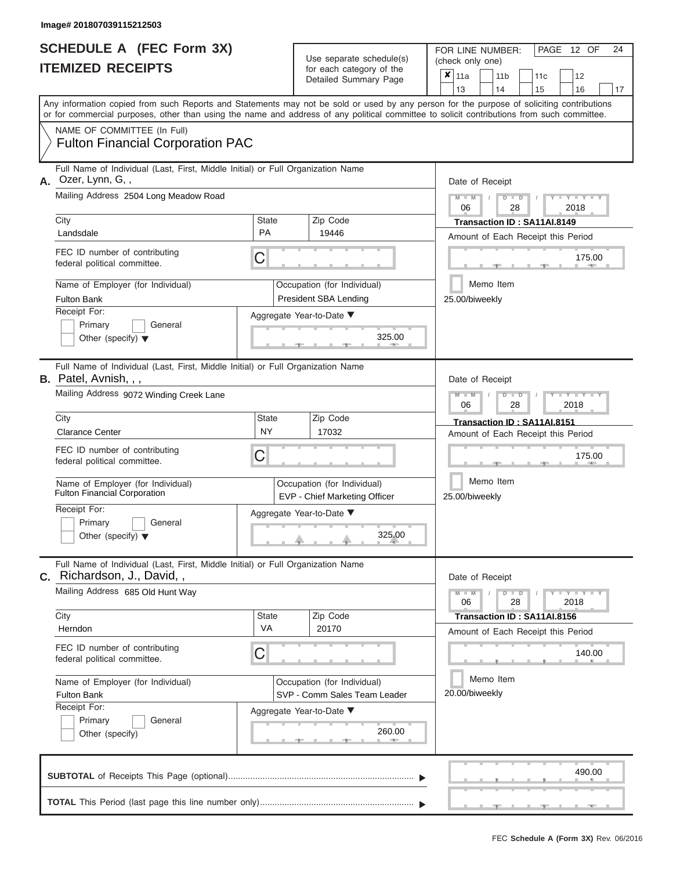| <b>SCHEDULE A (FEC Form 3X)</b> |  |
|---------------------------------|--|
| <b>ITEMIZED RECEIPTS</b>        |  |

FOR LINE NUMBER:<br>(check only one) Use separate schedule(s) for each category of the  $\sum_{n=1}^{\infty}$ 

|    |                                                                                                                                            |                           | $\frac{1}{2}$<br>Detailed Summary Page                       |                             | ×<br>11a                               |  | 11 <sub>b</sub> | 11 <sub>c</sub>                    | 12            |        |    |  |  |  |  |  |
|----|--------------------------------------------------------------------------------------------------------------------------------------------|---------------------------|--------------------------------------------------------------|-----------------------------|----------------------------------------|--|-----------------|------------------------------------|---------------|--------|----|--|--|--|--|--|
|    | Any information copied from such Reports and Statements may not be sold or used by any person for the purpose of soliciting contributions  |                           |                                                              |                             | 13                                     |  | 14              | 15                                 | 16            |        | 17 |  |  |  |  |  |
|    | or for commercial purposes, other than using the name and address of any political committee to solicit contributions from such committee. |                           |                                                              |                             |                                        |  |                 |                                    |               |        |    |  |  |  |  |  |
|    | NAME OF COMMITTEE (In Full)<br><b>Fulton Financial Corporation PAC</b>                                                                     |                           |                                                              |                             |                                        |  |                 |                                    |               |        |    |  |  |  |  |  |
| А. | Full Name of Individual (Last, First, Middle Initial) or Full Organization Name<br>Ozer, Lynn, G,,                                         |                           |                                                              |                             | Date of Receipt                        |  |                 |                                    |               |        |    |  |  |  |  |  |
|    | Mailing Address 2504 Long Meadow Road                                                                                                      |                           |                                                              |                             | $M - M$<br>$D$ $D$<br>2018<br>06<br>28 |  |                 |                                    |               |        |    |  |  |  |  |  |
|    | City                                                                                                                                       | <b>State</b><br><b>PA</b> | Zip Code                                                     |                             |                                        |  |                 | Transaction ID: SA11AI.8149        |               |        |    |  |  |  |  |  |
|    | Landsdale                                                                                                                                  |                           | 19446                                                        |                             |                                        |  |                 | Amount of Each Receipt this Period |               |        |    |  |  |  |  |  |
|    | FEC ID number of contributing<br>federal political committee.                                                                              | С                         |                                                              | 175.00                      |                                        |  |                 |                                    |               |        |    |  |  |  |  |  |
|    | Name of Employer (for Individual)                                                                                                          |                           | Occupation (for Individual)                                  | Memo Item                   |                                        |  |                 |                                    |               |        |    |  |  |  |  |  |
|    | <b>Fulton Bank</b>                                                                                                                         |                           | <b>President SBA Lending</b>                                 | 25.00/biweekly              |                                        |  |                 |                                    |               |        |    |  |  |  |  |  |
|    | Receipt For:<br>Primary<br>General                                                                                                         |                           | Aggregate Year-to-Date ▼                                     |                             |                                        |  |                 |                                    |               |        |    |  |  |  |  |  |
|    | Other (specify) $\blacktriangledown$                                                                                                       |                           | 325.00                                                       |                             |                                        |  |                 |                                    |               |        |    |  |  |  |  |  |
|    | Full Name of Individual (Last, First, Middle Initial) or Full Organization Name<br><b>B.</b> Patel, Avnish, , ,                            |                           |                                                              |                             | Date of Receipt                        |  |                 |                                    |               |        |    |  |  |  |  |  |
|    | Mailing Address 9072 Winding Creek Lane                                                                                                    |                           |                                                              |                             | $M - M$<br>Y I Y<br>2018<br>06<br>28   |  |                 |                                    |               |        |    |  |  |  |  |  |
|    | City                                                                                                                                       | State                     | Zip Code                                                     |                             |                                        |  |                 | Transaction ID: SA11AI.8151        |               |        |    |  |  |  |  |  |
|    | <b>Clarance Center</b>                                                                                                                     | <b>NY</b>                 | 17032                                                        |                             |                                        |  |                 | Amount of Each Receipt this Period |               |        |    |  |  |  |  |  |
|    | FEC ID number of contributing<br>federal political committee.                                                                              |                           |                                                              |                             |                                        |  |                 | 175.00                             |               |        |    |  |  |  |  |  |
|    | Name of Employer (for Individual)<br><b>Fulton Financial Corporation</b>                                                                   |                           | Occupation (for Individual)<br>EVP - Chief Marketing Officer |                             | Memo Item<br>25.00/biweekly            |  |                 |                                    |               |        |    |  |  |  |  |  |
|    | Receipt For:<br>Primary<br>General<br>Other (specify) $\blacktriangledown$                                                                 |                           | Aggregate Year-to-Date ▼<br>325.00                           |                             |                                        |  |                 |                                    |               |        |    |  |  |  |  |  |
|    | Full Name of Individual (Last, First, Middle Initial) or Full Organization Name<br>C. Richardson, J., David,,                              |                           |                                                              |                             | Date of Receipt                        |  |                 |                                    |               |        |    |  |  |  |  |  |
|    | Mailing Address 685 Old Hunt Way                                                                                                           |                           |                                                              |                             | $M - M$<br>06                          |  | $D$ $D$<br>28   |                                    | Y TYT<br>2018 |        |    |  |  |  |  |  |
|    | City<br>Herndon                                                                                                                            | State<br><b>VA</b>        | Zip Code<br>20170                                            |                             |                                        |  |                 | Transaction ID: SA11AI.8156        |               |        |    |  |  |  |  |  |
|    |                                                                                                                                            |                           |                                                              |                             |                                        |  |                 | Amount of Each Receipt this Period |               |        |    |  |  |  |  |  |
|    | FEC ID number of contributing<br>federal political committee.                                                                              | С                         |                                                              |                             |                                        |  |                 |                                    |               | 140.00 |    |  |  |  |  |  |
|    | Name of Employer (for Individual)<br><b>Fulton Bank</b>                                                                                    |                           | Occupation (for Individual)<br>SVP - Comm Sales Team Leader  | Memo Item<br>20.00/biweekly |                                        |  |                 |                                    |               |        |    |  |  |  |  |  |
|    | Receipt For:<br>Primary<br>General<br>Other (specify)                                                                                      |                           | Aggregate Year-to-Date ▼<br>260.00                           |                             |                                        |  |                 |                                    |               |        |    |  |  |  |  |  |
|    |                                                                                                                                            |                           |                                                              |                             |                                        |  |                 |                                    |               | 490.00 |    |  |  |  |  |  |
|    |                                                                                                                                            |                           |                                                              |                             |                                        |  |                 |                                    |               |        |    |  |  |  |  |  |

 ▲ ▲ ▲ , , .

PAGE 12 OF 24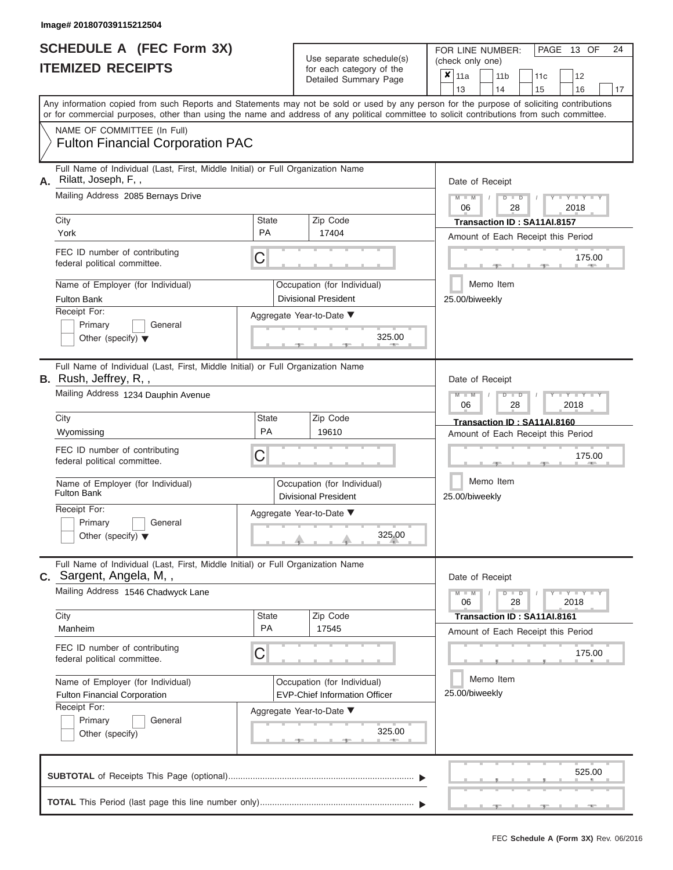|                          | SCHEDULE A (FEC Form 3X) |
|--------------------------|--------------------------|
| <b>ITEMIZED RECEIPTS</b> |                          |

FOR LINE NUMBER:<br>(check only one) Use separate schedule(s) for each category of the  $\sum_{n=1}^{\infty}$ 

|    |                                                                                                                                                                                                                                                                                         |                                         | $\frac{1}{2}$<br>Detailed Summary Page                                                          | ×                                                 | 11a<br>13                          |  | 11 <sub>b</sub><br>14 | 11 <sub>c</sub><br>15                                             | 12<br>16            | 17 |  |  |  |  |  |
|----|-----------------------------------------------------------------------------------------------------------------------------------------------------------------------------------------------------------------------------------------------------------------------------------------|-----------------------------------------|-------------------------------------------------------------------------------------------------|---------------------------------------------------|------------------------------------|--|-----------------------|-------------------------------------------------------------------|---------------------|----|--|--|--|--|--|
|    | Any information copied from such Reports and Statements may not be sold or used by any person for the purpose of soliciting contributions<br>or for commercial purposes, other than using the name and address of any political committee to solicit contributions from such committee. |                                         |                                                                                                 |                                                   |                                    |  |                       |                                                                   |                     |    |  |  |  |  |  |
|    | NAME OF COMMITTEE (In Full)<br><b>Fulton Financial Corporation PAC</b>                                                                                                                                                                                                                  |                                         |                                                                                                 |                                                   |                                    |  |                       |                                                                   |                     |    |  |  |  |  |  |
| А. | Full Name of Individual (Last, First, Middle Initial) or Full Organization Name<br>Rilatt, Joseph, F,,<br>Mailing Address 2085 Bernays Drive                                                                                                                                            |                                         |                                                                                                 | Date of Receipt<br>$M - M$<br>$D$ $D$<br>06<br>28 |                                    |  |                       |                                                                   |                     |    |  |  |  |  |  |
|    |                                                                                                                                                                                                                                                                                         |                                         |                                                                                                 |                                                   |                                    |  |                       |                                                                   | 2018                |    |  |  |  |  |  |
|    | City<br>York                                                                                                                                                                                                                                                                            | <b>State</b><br>PA                      | Zip Code<br>17404                                                                               |                                                   |                                    |  |                       | Transaction ID: SA11AI.8157<br>Amount of Each Receipt this Period |                     |    |  |  |  |  |  |
|    | FEC ID number of contributing<br>federal political committee.                                                                                                                                                                                                                           | С                                       |                                                                                                 | 175.00                                            |                                    |  |                       |                                                                   |                     |    |  |  |  |  |  |
|    | Name of Employer (for Individual)<br><b>Fulton Bank</b>                                                                                                                                                                                                                                 |                                         | Occupation (for Individual)<br><b>Divisional President</b>                                      | Memo Item<br>25.00/biweekly                       |                                    |  |                       |                                                                   |                     |    |  |  |  |  |  |
|    | Receipt For:<br>Primary<br>General<br>Other (specify) $\blacktriangledown$                                                                                                                                                                                                              | Aggregate Year-to-Date ▼<br>325.00<br>ு |                                                                                                 |                                                   |                                    |  |                       |                                                                   |                     |    |  |  |  |  |  |
|    | Full Name of Individual (Last, First, Middle Initial) or Full Organization Name<br><b>B.</b> Rush, Jeffrey, R,,                                                                                                                                                                         |                                         |                                                                                                 |                                                   | Date of Receipt                    |  |                       |                                                                   |                     |    |  |  |  |  |  |
|    | Mailing Address 1234 Dauphin Avenue                                                                                                                                                                                                                                                     |                                         |                                                                                                 |                                                   | $\blacksquare$<br>2018<br>06<br>28 |  |                       |                                                                   |                     |    |  |  |  |  |  |
|    | City<br>Wyomissing                                                                                                                                                                                                                                                                      | State<br>PA                             | Zip Code<br>19610                                                                               |                                                   |                                    |  |                       | Transaction ID: SA11AI.8160                                       |                     |    |  |  |  |  |  |
|    | FEC ID number of contributing<br>federal political committee.                                                                                                                                                                                                                           |                                         | Amount of Each Receipt this Period<br>175.00                                                    |                                                   |                                    |  |                       |                                                                   |                     |    |  |  |  |  |  |
|    | Name of Employer (for Individual)<br><b>Fulton Bank</b>                                                                                                                                                                                                                                 |                                         | Occupation (for Individual)<br><b>Divisional President</b>                                      |                                                   | Memo Item<br>25.00/biweekly        |  |                       |                                                                   |                     |    |  |  |  |  |  |
|    | Receipt For:<br>Primary<br>General<br>Other (specify) $\blacktriangledown$                                                                                                                                                                                                              |                                         | Aggregate Year-to-Date ▼<br>325.00                                                              |                                                   |                                    |  |                       |                                                                   |                     |    |  |  |  |  |  |
|    | Full Name of Individual (Last, First, Middle Initial) or Full Organization Name<br>C. Sargent, Angela, M,,                                                                                                                                                                              |                                         |                                                                                                 |                                                   | Date of Receipt                    |  |                       |                                                                   |                     |    |  |  |  |  |  |
|    | Mailing Address 1546 Chadwyck Lane                                                                                                                                                                                                                                                      |                                         |                                                                                                 |                                                   | 06                                 |  | $\blacksquare$<br>28  |                                                                   | $Y - Y - Y$<br>2018 |    |  |  |  |  |  |
|    | City<br>Manheim                                                                                                                                                                                                                                                                         | State<br>PA                             | Zip Code<br>17545                                                                               |                                                   |                                    |  |                       | Transaction ID: SA11AI.8161<br>Amount of Each Receipt this Period |                     |    |  |  |  |  |  |
|    | FEC ID number of contributing<br>federal political committee.                                                                                                                                                                                                                           | С                                       |                                                                                                 |                                                   |                                    |  |                       |                                                                   | 175.00              |    |  |  |  |  |  |
|    | Name of Employer (for Individual)<br>Fulton Financial Corporation<br>Receipt For:                                                                                                                                                                                                       |                                         | Occupation (for Individual)<br><b>EVP-Chief Information Officer</b><br>Aggregate Year-to-Date ▼ | Memo Item<br>25.00/biweekly                       |                                    |  |                       |                                                                   |                     |    |  |  |  |  |  |
|    | Primary<br>General<br>Other (specify)                                                                                                                                                                                                                                                   |                                         |                                                                                                 |                                                   |                                    |  |                       |                                                                   |                     |    |  |  |  |  |  |
|    |                                                                                                                                                                                                                                                                                         |                                         |                                                                                                 |                                                   |                                    |  |                       |                                                                   | 525.00              |    |  |  |  |  |  |
|    |                                                                                                                                                                                                                                                                                         |                                         |                                                                                                 |                                                   |                                    |  |                       |                                                                   |                     |    |  |  |  |  |  |

PAGE 13 OF 24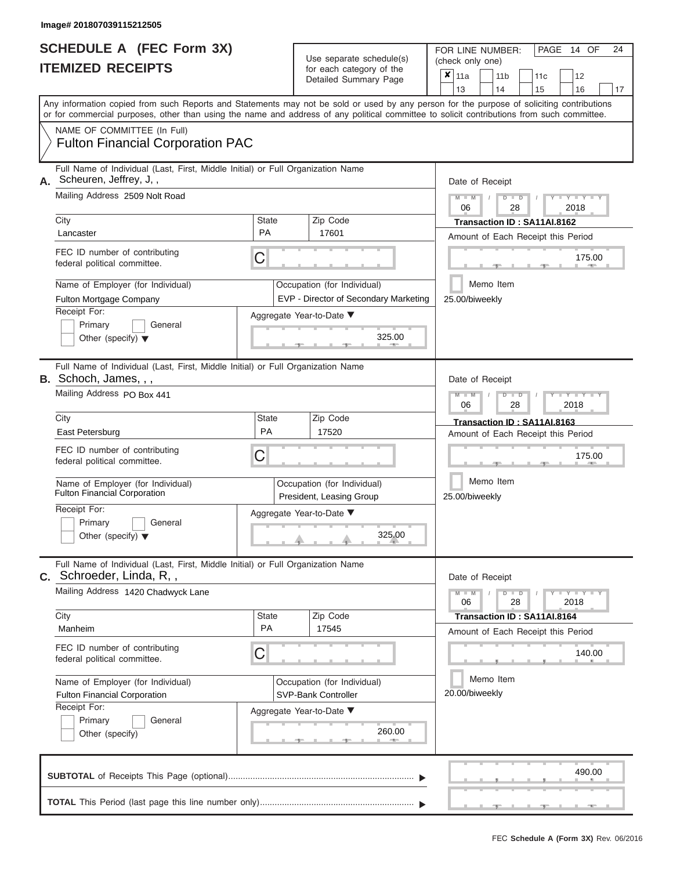|                          | <b>SCHEDULE A (FEC Form 3X)</b> |
|--------------------------|---------------------------------|
| <b>ITEMIZED RECEIPTS</b> |                                 |

FOR LINE NUMBER: PAGE<br>(check only one) Use separate schedule(s)<br>for each category of the<br> $\frac{|\mathbf{x}|}{|\mathbf{x}|}$  11a  $\frac{|\mathbf{x}|}{|\mathbf{x}|}$  11b

 $\overline{\mathbf{x}}$  11a

 $,$  490.  $\frac{175.0}{2}$ Aggregate Year-to-Date ▼  $\frac{325.0}{7}$ C C ▲ ▲ ▲ , , . , , .  $260.0$ C **M M / D D / Y Y Y Y M M / D D / Y Y Y Y M M / D D / Y Y Y Y**  $\frac{325.0}{1}$ , , . Any information copied from such Reports and Statements may not be sold or used by any person for the purpose of soliciting contributions or for commercial purposes, other than using the name and address of any political committee to solicit contributions from such committee. NAME OF COMMITTEE (In Full) **SUBTOTAL** of Receipts This Page (optional)............................................................................ Full Name of Individual (Last, First, Middle Initial) or Full Organization Name Mailing Address 2509 Nolt Road City City Code City State City Receipt For: Primary **General** Other (specify) ▼ Amount of Each Receipt this Period **A.** Date of Receipt Name of Employer (for Individual)  $\vert$  Occupation (for Individual) FEC ID number of contributing federal political committee. Full Name of Individual (Last, First, Middle Initial) or Full Organization Name Mailing Address PO Box 441 City **State** Zip Code Receipt For: Primary **General** Other (specify) ▼ Amount of Each Receipt this Period **B.** Schoch, James, , , Aggregate Year-to-Date ▼ Date of Receipt FEC ID number of contributing federal political committee. Full Name of Individual (Last, First, Middle Initial) or Full Organization Name Mailing Address 1420 Chadwyck Lane City City City State 2 | State Zip Code Receipt For: Primary **General** Other (specify) Amount of Each Receipt this Period **C.** Schroeder, Linda, R, , Aggregate Year-to-Date ▼ Date of Receipt FEC ID number of contributing federal political committee. Detailed Summary Page  $\begin{array}{|c|c|c|c|c|c|}\n\hline\n11a & 11b & 11c & 12 \ \hline\n13 & 14 & 15 & 16\n\end{array}$ |13 | |14 | |15 | |16 | |17 Memo Item Memo Item Memo Item Name of Employer (for Individual) <br>
Fulton Financial Corporation<br>
Procident Leasing Croup Name of Employer (for Individual) <br> Qccupation (for Individual) Fulton Financial Corporation PAC Scheuren, Jeffrey, J, , 06 28 2018 City<br>
Lancaster **PA** 17601 **PA** 17601 **PA** 17601 **PA** 17601 **PA** 17601 Fulton Mortgage Company **EXP** - EVP - Director of Secondary Marketing 25.00/biweekly 175.00<br>
(175.00<br>
Themo Item<br>
25.00/biweekly<br>
25.00<br>
25.00 06 28 2018 East Petersburg **Particle Control of Cast Petersburg PA** 17520 **Transaction ID : SA11AI.8163**<br>PA 17520 **PA** 17520 Amount of Each Receipt this Politics Fulton Financial Corporation<br>
Receipt For: Primary Ceneral<br>
Other (specify) ▼ 325.00 25.00/biweekly 175.00 06 28 2018 Notify **Channel Manheim Paper in the Contract of State** PA 17545 **Transaction ID : SA11AI.8164**<br>Manheim PA 17545 Amount of Each Beceint this Pe Fulton Financial Corporation SVP-Bank Controller 20.00/biweekly 140.00<br>
(140.00<br>
260.00<br>
260.00<br>
260.00 490.00

14 OF 24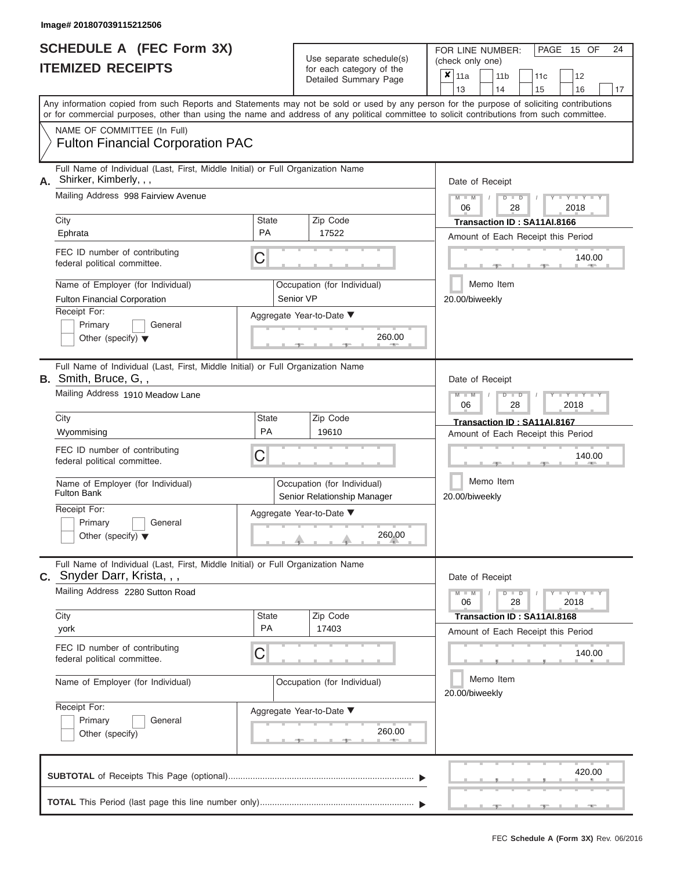|    | <b>SCHEDULE A (FEC Form 3X)</b><br><b>ITEMIZED RECEIPTS</b>                                                                                                                                                                                                                             |                           | Use separate schedule(s)<br>for each category of the<br>Detailed Summary Page | 24<br>PAGE 15 OF<br>FOR LINE NUMBER:<br>(check only one)<br>$x _{11a}$<br>11 <sub>b</sub><br>11 <sub>c</sub><br>12<br>13<br>14<br>17<br>15<br>16 |  |  |  |  |  |  |  |
|----|-----------------------------------------------------------------------------------------------------------------------------------------------------------------------------------------------------------------------------------------------------------------------------------------|---------------------------|-------------------------------------------------------------------------------|--------------------------------------------------------------------------------------------------------------------------------------------------|--|--|--|--|--|--|--|
|    | Any information copied from such Reports and Statements may not be sold or used by any person for the purpose of soliciting contributions<br>or for commercial purposes, other than using the name and address of any political committee to solicit contributions from such committee. |                           |                                                                               |                                                                                                                                                  |  |  |  |  |  |  |  |
|    | NAME OF COMMITTEE (In Full)<br><b>Fulton Financial Corporation PAC</b>                                                                                                                                                                                                                  |                           |                                                                               |                                                                                                                                                  |  |  |  |  |  |  |  |
| А. | Full Name of Individual (Last, First, Middle Initial) or Full Organization Name<br>Shirker, Kimberly, , ,                                                                                                                                                                               |                           |                                                                               | Date of Receipt                                                                                                                                  |  |  |  |  |  |  |  |
|    | Mailing Address 998 Fairview Avenue                                                                                                                                                                                                                                                     |                           |                                                                               | $M - M$<br>$+Y+Y+Y$<br>$D$ $D$<br>06<br>2018<br>28                                                                                               |  |  |  |  |  |  |  |
|    | City<br>Ephrata                                                                                                                                                                                                                                                                         | State<br><b>PA</b>        | Zip Code<br>17522                                                             | Transaction ID: SA11AI.8166<br>Amount of Each Receipt this Period                                                                                |  |  |  |  |  |  |  |
|    | FEC ID number of contributing<br>federal political committee.                                                                                                                                                                                                                           | С                         |                                                                               | 140.00                                                                                                                                           |  |  |  |  |  |  |  |
|    | Name of Employer (for Individual)                                                                                                                                                                                                                                                       |                           | Occupation (for Individual)                                                   | Memo Item                                                                                                                                        |  |  |  |  |  |  |  |
|    | <b>Fulton Financial Corporation</b><br>Receipt For:<br>Primary<br>General<br>Other (specify) $\blacktriangledown$                                                                                                                                                                       |                           | Senior VP<br>Aggregate Year-to-Date ▼<br>260.00                               | 20.00/biweekly                                                                                                                                   |  |  |  |  |  |  |  |
|    | Full Name of Individual (Last, First, Middle Initial) or Full Organization Name<br><b>B.</b> Smith, Bruce, G,,                                                                                                                                                                          |                           |                                                                               | Date of Receipt                                                                                                                                  |  |  |  |  |  |  |  |
|    | Mailing Address 1910 Meadow Lane                                                                                                                                                                                                                                                        |                           |                                                                               | $M - M$<br>$T - Y = T - Y = T$<br>$D$ $D$<br>06<br>2018<br>28                                                                                    |  |  |  |  |  |  |  |
|    | City<br>Wyommising                                                                                                                                                                                                                                                                      | <b>State</b><br><b>PA</b> | Zip Code<br>19610                                                             | Transaction ID: SA11AI.8167<br>Amount of Each Receipt this Period                                                                                |  |  |  |  |  |  |  |
|    | FEC ID number of contributing<br>federal political committee.                                                                                                                                                                                                                           | С                         |                                                                               | 140.00                                                                                                                                           |  |  |  |  |  |  |  |
|    | Name of Employer (for Individual)<br><b>Fulton Bank</b>                                                                                                                                                                                                                                 |                           | Occupation (for Individual)<br>Senior Relationship Manager                    | Memo Item<br>20.00/biweekly                                                                                                                      |  |  |  |  |  |  |  |
|    | Receipt For:<br>Primary<br>$\vert$ General<br>Other (specify) $\blacktriangledown$                                                                                                                                                                                                      |                           | Aggregate Year-to-Date ▼<br>260.00                                            |                                                                                                                                                  |  |  |  |  |  |  |  |
|    | Full Name of Individual (Last, First, Middle Initial) or Full Organization Name<br>C. Snyder Darr, Krista, , ,                                                                                                                                                                          |                           |                                                                               | Date of Receipt                                                                                                                                  |  |  |  |  |  |  |  |
|    | Mailing Address 2280 Sutton Road                                                                                                                                                                                                                                                        |                           |                                                                               | $-1$ $ Y$ $-1$ $ Y$ $-1$ $ Y$<br>$M - M$<br>$D$ $D$<br>28<br>2018<br>06                                                                          |  |  |  |  |  |  |  |
|    | City<br>york                                                                                                                                                                                                                                                                            | <b>State</b><br>PA        | Zip Code<br>17403                                                             | Transaction ID: SA11AI.8168<br>Amount of Each Receipt this Period                                                                                |  |  |  |  |  |  |  |
|    | FEC ID number of contributing<br>federal political committee.                                                                                                                                                                                                                           | C                         |                                                                               | 140.00                                                                                                                                           |  |  |  |  |  |  |  |
|    | Name of Employer (for Individual)                                                                                                                                                                                                                                                       |                           | Occupation (for Individual)                                                   | Memo Item<br>20.00/biweekly                                                                                                                      |  |  |  |  |  |  |  |
|    | Receipt For:<br>Primary<br>General<br>Other (specify)                                                                                                                                                                                                                                   |                           | Aggregate Year-to-Date ▼<br>260.00                                            |                                                                                                                                                  |  |  |  |  |  |  |  |
|    |                                                                                                                                                                                                                                                                                         |                           |                                                                               | 420.00                                                                                                                                           |  |  |  |  |  |  |  |
|    |                                                                                                                                                                                                                                                                                         |                           |                                                                               |                                                                                                                                                  |  |  |  |  |  |  |  |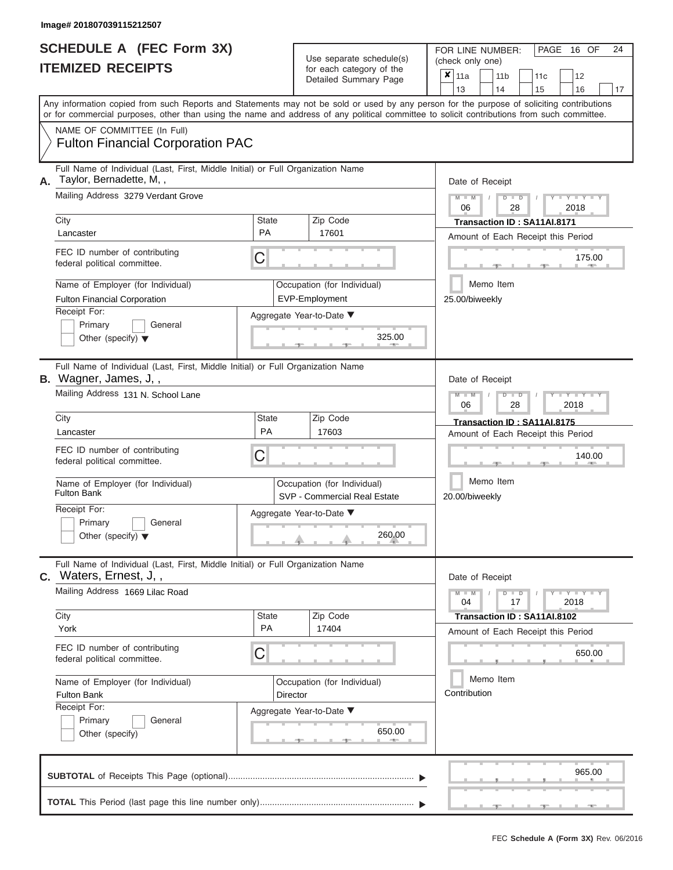|                          | <b>SCHEDULE A (FEC Form 3X)</b> |
|--------------------------|---------------------------------|
| <b>ITEMIZED RECEIPTS</b> |                                 |

FOR LINE NUMBER:<br>(check only one) Use separate schedule(s)<br>for each category of the

|    |                                                                                                                                                                                                                                                                                         |                    |                 | badii balogory of life<br>Detailed Summary Page             | ×                                                                 | 11a<br>13                   |                             | 11 <sub>b</sub><br>14   | 15                                 | 11c  | 12<br>16                           | 17 |  |  |  |  |
|----|-----------------------------------------------------------------------------------------------------------------------------------------------------------------------------------------------------------------------------------------------------------------------------------------|--------------------|-----------------|-------------------------------------------------------------|-------------------------------------------------------------------|-----------------------------|-----------------------------|-------------------------|------------------------------------|------|------------------------------------|----|--|--|--|--|
|    | Any information copied from such Reports and Statements may not be sold or used by any person for the purpose of soliciting contributions<br>or for commercial purposes, other than using the name and address of any political committee to solicit contributions from such committee. |                    |                 |                                                             |                                                                   |                             |                             |                         |                                    |      |                                    |    |  |  |  |  |
|    | NAME OF COMMITTEE (In Full)<br><b>Fulton Financial Corporation PAC</b>                                                                                                                                                                                                                  |                    |                 |                                                             |                                                                   |                             |                             |                         |                                    |      |                                    |    |  |  |  |  |
| А. | Full Name of Individual (Last, First, Middle Initial) or Full Organization Name<br>Taylor, Bernadette, M,,<br>Mailing Address 3279 Verdant Grove                                                                                                                                        |                    |                 | Date of Receipt                                             |                                                                   |                             |                             |                         |                                    |      |                                    |    |  |  |  |  |
|    |                                                                                                                                                                                                                                                                                         |                    |                 |                                                             | $M - M$<br>06                                                     |                             | $D$ $D$                     | 28                      |                                    | 2018 |                                    |    |  |  |  |  |
|    | City<br>Lancaster                                                                                                                                                                                                                                                                       | Zip Code<br>17601  |                 |                                                             |                                                                   |                             | Transaction ID: SA11AI.8171 |                         | Amount of Each Receipt this Period |      |                                    |    |  |  |  |  |
|    | FEC ID number of contributing<br>federal political committee.                                                                                                                                                                                                                           | C                  |                 |                                                             |                                                                   |                             |                             |                         |                                    |      | 175.00                             |    |  |  |  |  |
|    | Name of Employer (for Individual)<br><b>Fulton Financial Corporation</b>                                                                                                                                                                                                                |                    |                 | Occupation (for Individual)<br>EVP-Employment               |                                                                   | 25.00/biweekly              |                             | Memo Item               |                                    |      |                                    |    |  |  |  |  |
|    | Receipt For:<br>Primary<br>General<br>Other (specify) $\blacktriangledown$                                                                                                                                                                                                              |                    |                 | Aggregate Year-to-Date ▼<br>325.00<br>$-1$                  |                                                                   |                             |                             |                         |                                    |      |                                    |    |  |  |  |  |
|    | Full Name of Individual (Last, First, Middle Initial) or Full Organization Name<br>B. Wagner, James, J,,                                                                                                                                                                                |                    |                 |                                                             |                                                                   | Date of Receipt             |                             |                         |                                    |      |                                    |    |  |  |  |  |
|    | Mailing Address 131 N. School Lane                                                                                                                                                                                                                                                      |                    |                 |                                                             |                                                                   | 06                          |                             | $\overline{\mathsf{D}}$ | $\blacksquare$<br>28               |      | 2018                               |    |  |  |  |  |
|    | City<br>Lancaster                                                                                                                                                                                                                                                                       | <b>State</b><br>PA |                 | Zip Code<br>17603                                           | Transaction ID: SA11AI.8175<br>Amount of Each Receipt this Period |                             |                             |                         |                                    |      |                                    |    |  |  |  |  |
|    | FEC ID number of contributing<br>federal political committee.                                                                                                                                                                                                                           | C                  |                 |                                                             |                                                                   |                             |                             |                         |                                    |      | 140.00                             |    |  |  |  |  |
|    | Name of Employer (for Individual)<br><b>Fulton Bank</b>                                                                                                                                                                                                                                 |                    |                 | Occupation (for Individual)<br>SVP - Commercial Real Estate |                                                                   | Memo Item<br>20.00/biweekly |                             |                         |                                    |      |                                    |    |  |  |  |  |
|    | Receipt For:<br>Primary<br>General<br>Other (specify) $\blacktriangledown$                                                                                                                                                                                                              |                    |                 | Aggregate Year-to-Date ▼<br>260.00                          |                                                                   |                             |                             |                         |                                    |      |                                    |    |  |  |  |  |
| C. | Full Name of Individual (Last, First, Middle Initial) or Full Organization Name<br>Waters, Ernest, J,,                                                                                                                                                                                  |                    |                 |                                                             |                                                                   | Date of Receipt             |                             |                         |                                    |      |                                    |    |  |  |  |  |
|    | Mailing Address 1669 Lilac Road                                                                                                                                                                                                                                                         |                    |                 |                                                             |                                                                   | 04                          |                             |                         | $D$ $D$<br>17                      |      | $Y - Y - I$<br>2018                |    |  |  |  |  |
|    | City<br>York                                                                                                                                                                                                                                                                            | <b>State</b><br>PA |                 | Zip Code<br>17404                                           |                                                                   |                             |                             |                         | Transaction ID: SA11AI.8102        |      | Amount of Each Receipt this Period |    |  |  |  |  |
|    | FEC ID number of contributing<br>federal political committee.                                                                                                                                                                                                                           | C                  |                 |                                                             |                                                                   |                             |                             |                         |                                    |      | 650.00                             |    |  |  |  |  |
|    | Name of Employer (for Individual)<br><b>Fulton Bank</b><br>Receipt For:                                                                                                                                                                                                                 |                    | <b>Director</b> | Occupation (for Individual)                                 | Memo Item<br>Contribution                                         |                             |                             |                         |                                    |      |                                    |    |  |  |  |  |
|    | Primary<br>General<br>Other (specify)                                                                                                                                                                                                                                                   |                    |                 | Aggregate Year-to-Date ▼<br>650.00                          |                                                                   |                             |                             |                         |                                    |      |                                    |    |  |  |  |  |
|    |                                                                                                                                                                                                                                                                                         |                    |                 |                                                             |                                                                   |                             |                             |                         |                                    |      | 965.00                             |    |  |  |  |  |
|    |                                                                                                                                                                                                                                                                                         |                    |                 |                                                             |                                                                   |                             |                             |                         |                                    |      |                                    |    |  |  |  |  |

PAGE 16 OF 24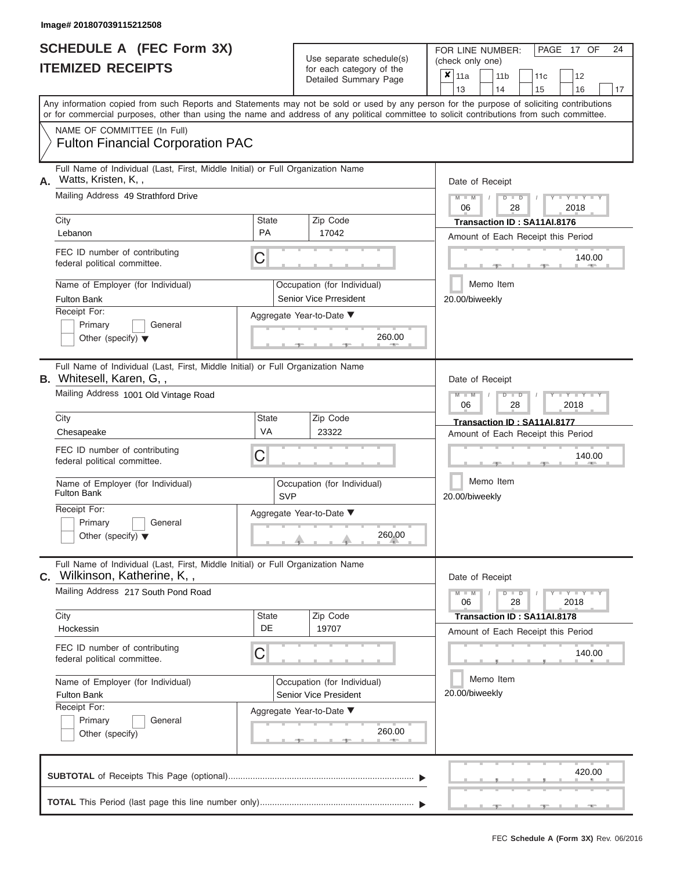|    | <b>SCHEDULE A (FEC Form 3X)</b><br><b>ITEMIZED RECEIPTS</b>                                                                                | Use separate schedule(s)<br>for each category of the<br>Detailed Summary Page |                                                              |                                                                                                                                           |  |  |  |  |
|----|--------------------------------------------------------------------------------------------------------------------------------------------|-------------------------------------------------------------------------------|--------------------------------------------------------------|-------------------------------------------------------------------------------------------------------------------------------------------|--|--|--|--|
|    | or for commercial purposes, other than using the name and address of any political committee to solicit contributions from such committee. |                                                                               |                                                              | Any information copied from such Reports and Statements may not be sold or used by any person for the purpose of soliciting contributions |  |  |  |  |
|    | NAME OF COMMITTEE (In Full)<br><b>Fulton Financial Corporation PAC</b>                                                                     |                                                                               |                                                              |                                                                                                                                           |  |  |  |  |
| А. | Full Name of Individual (Last, First, Middle Initial) or Full Organization Name<br>Watts, Kristen, K,,                                     |                                                                               |                                                              | Date of Receipt                                                                                                                           |  |  |  |  |
|    | Mailing Address 49 Strathford Drive                                                                                                        |                                                                               |                                                              | $M - M$<br>$Y - Y - Y - Y - Y$<br>$D$ $D$<br>06<br>28<br>2018                                                                             |  |  |  |  |
|    | City<br>Lebanon                                                                                                                            | <b>State</b><br><b>PA</b>                                                     | Zip Code<br>17042                                            | Transaction ID: SA11AI.8176<br>Amount of Each Receipt this Period                                                                         |  |  |  |  |
|    | FEC ID number of contributing<br>federal political committee.                                                                              | C                                                                             |                                                              | 140.00                                                                                                                                    |  |  |  |  |
|    | Name of Employer (for Individual)<br><b>Fulton Bank</b>                                                                                    |                                                                               | Occupation (for Individual)<br><b>Senior Vice Prresident</b> | Memo Item<br>20.00/biweekly                                                                                                               |  |  |  |  |
|    | Receipt For:<br>Primary<br>General<br>Other (specify) $\blacktriangledown$                                                                 |                                                                               | Aggregate Year-to-Date ▼<br>260.00                           |                                                                                                                                           |  |  |  |  |
|    | Full Name of Individual (Last, First, Middle Initial) or Full Organization Name<br><b>B.</b> Whitesell, Karen, G,,                         |                                                                               |                                                              | Date of Receipt                                                                                                                           |  |  |  |  |
|    | Mailing Address 1001 Old Vintage Road                                                                                                      |                                                                               |                                                              | $M - M$<br>$T - Y = T - Y = T$<br>$D$ $D$<br>06<br>28<br>2018                                                                             |  |  |  |  |
|    | City<br>Chesapeake                                                                                                                         | <b>State</b><br>VA                                                            | Zip Code<br>23322                                            | Transaction ID: SA11AI.8177<br>Amount of Each Receipt this Period                                                                         |  |  |  |  |
|    | FEC ID number of contributing<br>federal political committee.                                                                              | С                                                                             |                                                              | 140.00                                                                                                                                    |  |  |  |  |
|    | Name of Employer (for Individual)<br><b>Fulton Bank</b>                                                                                    | <b>SVP</b>                                                                    | Occupation (for Individual)                                  | Memo Item<br>20.00/biweekly                                                                                                               |  |  |  |  |
|    | Receipt For:<br>$\Box$ Primary<br>$\Box$ General<br>Other (specify) $\blacktriangledown$                                                   |                                                                               | Aggregate Year-to-Date ▼<br>260.00                           |                                                                                                                                           |  |  |  |  |
|    | Full Name of Individual (Last, First, Middle Initial) or Full Organization Name<br>C. Wilkinson, Katherine, K,,                            |                                                                               |                                                              | Date of Receipt                                                                                                                           |  |  |  |  |
|    | Mailing Address 217 South Pond Road                                                                                                        |                                                                               |                                                              | $Y - Y - Y - Y - Y$<br>$M - M$<br>$D$ $D$<br>28<br>2018<br>06                                                                             |  |  |  |  |
|    | City<br>Hockessin                                                                                                                          | <b>State</b><br>DE                                                            | Zip Code<br>19707                                            | Transaction ID: SA11AI.8178<br>Amount of Each Receipt this Period                                                                         |  |  |  |  |
|    | FEC ID number of contributing<br>federal political committee.                                                                              | C                                                                             |                                                              | 140.00                                                                                                                                    |  |  |  |  |
|    | Name of Employer (for Individual)<br><b>Fulton Bank</b>                                                                                    |                                                                               | Occupation (for Individual)<br>Senior Vice President         | Memo Item<br>20.00/biweekly                                                                                                               |  |  |  |  |
|    | Receipt For:<br>Primary<br>General<br>Other (specify)                                                                                      |                                                                               | Aggregate Year-to-Date ▼<br>260.00                           |                                                                                                                                           |  |  |  |  |
|    | <b>CLIBTOTAL</b> of Peccipts This Page (optional)                                                                                          |                                                                               |                                                              | 420.00                                                                                                                                    |  |  |  |  |

|  |  |  |  |  |  | 420.00                                            |  |
|--|--|--|--|--|--|---------------------------------------------------|--|
|  |  |  |  |  |  |                                                   |  |
|  |  |  |  |  |  | Application of the Application of the Application |  |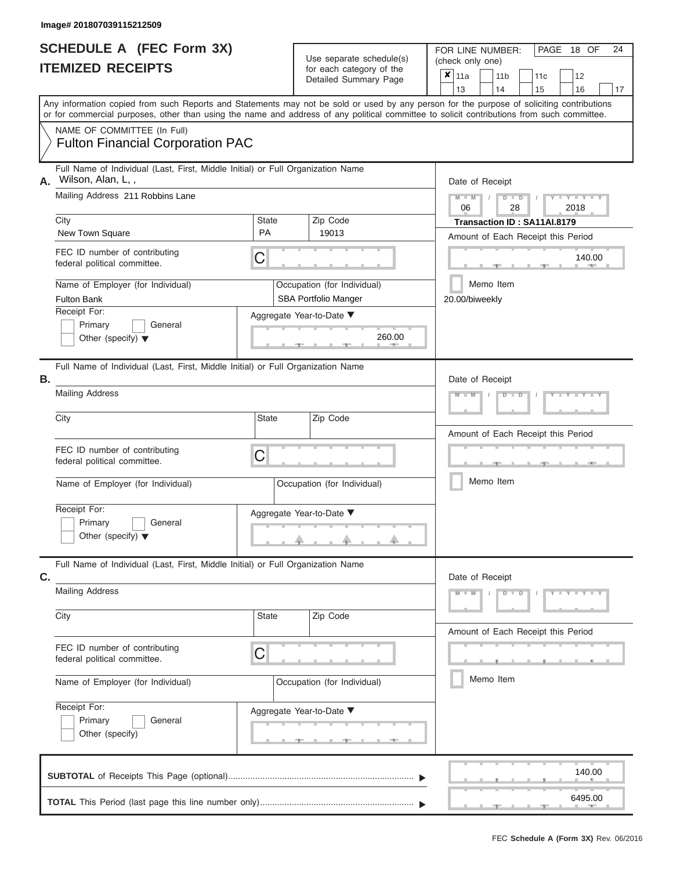|                          | SCHEDULE A (FEC Form 3X) |  |
|--------------------------|--------------------------|--|
| <b>ITEMIZED RECEIPTS</b> |                          |  |

**TOTAL** This Period (last page this line number only).............................

Use separate schedule(s)<br>for each category of the<br> $\frac{|\mathbf{x}|}{|\mathbf{x}|}$  11a  $\frac{|\mathbf{x}|}{|\mathbf{x}|}$  11b

FOR LINE NUMBER: PAGE<br>(check only one)

 $x \vert_{11a}$ 

18 OF 24

, , .  $\frac{140.0}{2}$ Aggregate Year-to-Date ▼  $\frac{260.01}{2}$ C C <u>. . . . . . .</u> | <u>| . . . . . . . .</u> , , . ▲ ▲ ▲ C **M M / D D / Y Y Y Y M M / D D / Y Y Y Y M M / D D / Y Y Y Y A** . . A . . A , <u>, , , , , ,</u> Any information copied from such Reports and Statements may not be sold or used by any person for the purpose of soliciting contributions or for commercial purposes, other than using the name and address of any political committee to solicit contributions from such committee. NAME OF COMMITTEE (In Full) **SUBTOTAL** of Receipts This Page (optional)............................................................................ ▼ ▼ Full Name of Individual (Last, First, Middle Initial) or Full Organization Name Mailing Address 211 Robbins Lane City City Code City State City Receipt For: Primary **General** Other (specify) ▼ Amount of Each Receipt this Period **A.** Date of Receipt Name of Employer (for Individual) Occupation (for Individual) FEC ID number of contributing federal political committee. Full Name of Individual (Last, First, Middle Initial) or Full Organization Name Mailing Address City City State Zip Code Receipt For: Primary **General** Other (specify) ▼ Amount of Each Receipt this Period **B.** Aggregate Year-to-Date ▼ Date of Receipt FEC ID number of contributing federal political committee. Full Name of Individual (Last, First, Middle Initial) or Full Organization Name Mailing Address City **State** Zip Code Receipt For: Primary **General** Other (specify) Amount of Each Receipt this Period **C.** Aggregate Year-to-Date ▼ Date of Receipt FEC ID number of contributing federal political committee. Detailed Summary Page  $\begin{array}{|c|c|c|c|c|c|}\n\hline\n11a & 11b & 11c & 12 \ \hline\n13 & 14 & 15 & 16\n\end{array}$ |13 | |14 | |15 | |16 | |17 Memo Item Memo Item Memo Item Name of Employer (for Individual) <br> Qccupation (for Individual) Name of Employer (for Individual)  $\vert$  Occupation (for Individual) Fulton Financial Corporation PAC Wilson, Alan, L, , 06 28 2018 City<br>
New Town Square **PA** 19013 **PA** 19013 **Amount of Each Beceint this Pe** 19013 Fulton Bank **SBA Portfolio Manger** SBA Portfolio Manger 20.00/biweekly 140.00<br>
140.00<br>
20.00/biweekly<br>
260.00<br>
260.00 140.00

 $\frac{6495.00}{2}$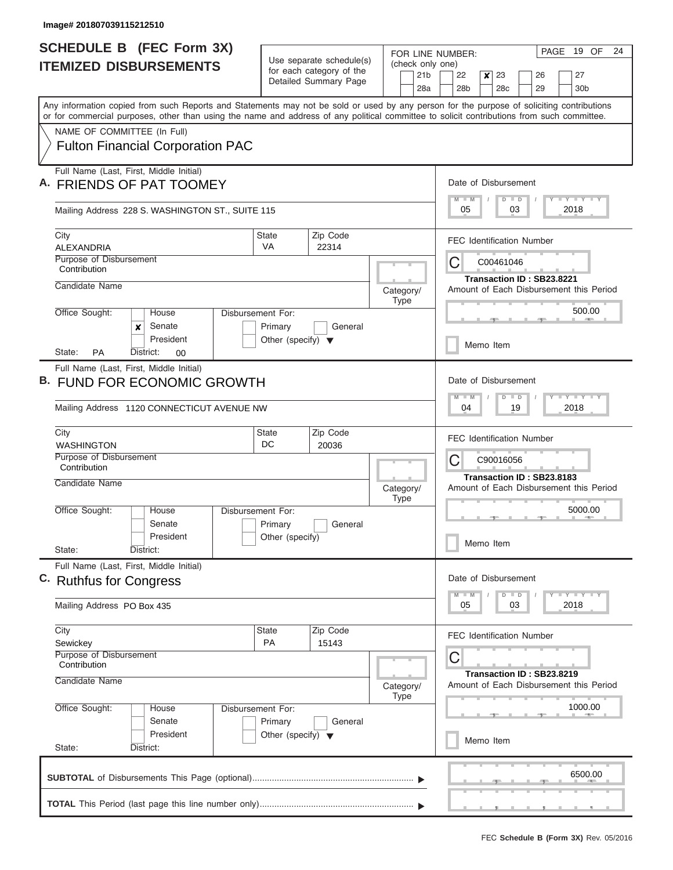| <b>SCHEDULE B (FEC Form 3X)</b>                                                                                                                                                                                                                                                         |                                                 | Use separate schedule(s) |                                  |                                     |                                                                      | FOR LINE NUMBER:                                                                |                                                         |  |                      |    |                                  |    | PAGE 19 OF                  | 24                                      |  |  |  |
|-----------------------------------------------------------------------------------------------------------------------------------------------------------------------------------------------------------------------------------------------------------------------------------------|-------------------------------------------------|--------------------------|----------------------------------|-------------------------------------|----------------------------------------------------------------------|---------------------------------------------------------------------------------|---------------------------------------------------------|--|----------------------|----|----------------------------------|----|-----------------------------|-----------------------------------------|--|--|--|
| <b>ITEMIZED DISBURSEMENTS</b>                                                                                                                                                                                                                                                           | for each category of the                        |                          |                                  | (check only one)<br>21 <sub>b</sub> | 22<br>23<br>$\boldsymbol{x}$<br>26                                   |                                                                                 |                                                         |  |                      |    |                                  | 27 |                             |                                         |  |  |  |
|                                                                                                                                                                                                                                                                                         |                                                 | Detailed Summary Page    |                                  |                                     | 28a                                                                  |                                                                                 | 28 <sub>b</sub>                                         |  | 28c                  |    | 29                               |    | 30 <sub>b</sub>             |                                         |  |  |  |
| Any information copied from such Reports and Statements may not be sold or used by any person for the purpose of soliciting contributions<br>or for commercial purposes, other than using the name and address of any political committee to solicit contributions from such committee. |                                                 |                          |                                  |                                     |                                                                      |                                                                                 |                                                         |  |                      |    |                                  |    |                             |                                         |  |  |  |
| NAME OF COMMITTEE (In Full)                                                                                                                                                                                                                                                             |                                                 |                          |                                  |                                     |                                                                      |                                                                                 |                                                         |  |                      |    |                                  |    |                             |                                         |  |  |  |
| <b>Fulton Financial Corporation PAC</b>                                                                                                                                                                                                                                                 |                                                 |                          |                                  |                                     |                                                                      |                                                                                 |                                                         |  |                      |    |                                  |    |                             |                                         |  |  |  |
| Full Name (Last, First, Middle Initial)<br><b>FRIENDS OF PAT TOOMEY</b>                                                                                                                                                                                                                 |                                                 |                          |                                  |                                     |                                                                      | Date of Disbursement                                                            |                                                         |  |                      |    |                                  |    |                             |                                         |  |  |  |
| Mailing Address 228 S. WASHINGTON ST., SUITE 115                                                                                                                                                                                                                                        |                                                 |                          |                                  |                                     |                                                                      |                                                                                 | Y I Y I Y I Y<br>$M$ $M$<br>$D$ $D$<br>03<br>2018<br>05 |  |                      |    |                                  |    |                             |                                         |  |  |  |
| City<br><b>ALEXANDRIA</b>                                                                                                                                                                                                                                                               | <b>State</b><br>VA                              | Zip Code<br>22314        |                                  |                                     |                                                                      | <b>FEC Identification Number</b>                                                |                                                         |  |                      |    |                                  |    |                             |                                         |  |  |  |
| Purpose of Disbursement<br>Contribution                                                                                                                                                                                                                                                 |                                                 |                          |                                  |                                     |                                                                      |                                                                                 | C<br>C00461046<br>Transaction ID: SB23.8221             |  |                      |    |                                  |    |                             |                                         |  |  |  |
| Candidate Name                                                                                                                                                                                                                                                                          |                                                 |                          | Category/                        | <b>Type</b>                         |                                                                      |                                                                                 |                                                         |  |                      |    |                                  |    |                             | Amount of Each Disbursement this Period |  |  |  |
| Office Sought:<br>House<br>Senate<br>x                                                                                                                                                                                                                                                  | Disbursement For:<br>Primary                    | General                  |                                  |                                     |                                                                      |                                                                                 |                                                         |  |                      |    |                                  |    | 500.00                      |                                         |  |  |  |
| President<br><b>PA</b><br>State:<br>District:<br>00                                                                                                                                                                                                                                     | Other (specify) $\blacktriangledown$            |                          |                                  |                                     |                                                                      |                                                                                 |                                                         |  | Memo Item            |    |                                  |    |                             |                                         |  |  |  |
| Full Name (Last, First, Middle Initial)<br>B. FUND FOR ECONOMIC GROWTH                                                                                                                                                                                                                  |                                                 |                          |                                  |                                     |                                                                      |                                                                                 |                                                         |  | Date of Disbursement |    |                                  |    |                             |                                         |  |  |  |
|                                                                                                                                                                                                                                                                                         | Zip Code                                        |                          |                                  |                                     |                                                                      |                                                                                 | $M - M$<br>$D$ $D$<br>04<br>19<br>2018                  |  |                      |    |                                  |    |                             |                                         |  |  |  |
| Mailing Address 1120 CONNECTICUT AVENUE NW                                                                                                                                                                                                                                              |                                                 |                          |                                  |                                     |                                                                      |                                                                                 |                                                         |  |                      |    |                                  |    |                             |                                         |  |  |  |
| City<br><b>WASHINGTON</b>                                                                                                                                                                                                                                                               | <b>State</b><br>DC                              |                          | <b>FEC Identification Number</b> |                                     |                                                                      |                                                                                 |                                                         |  |                      |    |                                  |    |                             |                                         |  |  |  |
| Purpose of Disbursement<br>Contribution                                                                                                                                                                                                                                                 |                                                 |                          |                                  | C<br>C90016056                      |                                                                      |                                                                                 |                                                         |  |                      |    |                                  |    |                             |                                         |  |  |  |
| Candidate Name                                                                                                                                                                                                                                                                          |                                                 | Category/                | <b>Type</b>                      |                                     | Transaction ID: SB23.8183<br>Amount of Each Disbursement this Period |                                                                                 |                                                         |  |                      |    |                                  |    |                             |                                         |  |  |  |
| Office Sought:<br>House<br>Senate                                                                                                                                                                                                                                                       | Disbursement For:<br>Primary<br>General         |                          |                                  |                                     |                                                                      | 5000.00                                                                         |                                                         |  |                      |    |                                  |    |                             |                                         |  |  |  |
| President<br>State:<br>District:                                                                                                                                                                                                                                                        | Other (specify)                                 |                          |                                  |                                     |                                                                      |                                                                                 |                                                         |  | Memo Item            |    |                                  |    |                             |                                         |  |  |  |
| Full Name (Last, First, Middle Initial)<br>C. Ruthfus for Congress                                                                                                                                                                                                                      |                                                 |                          |                                  |                                     |                                                                      |                                                                                 |                                                         |  | Date of Disbursement |    |                                  |    |                             |                                         |  |  |  |
| Mailing Address PO Box 435                                                                                                                                                                                                                                                              |                                                 |                          |                                  |                                     |                                                                      |                                                                                 | $M - M$<br>05                                           |  | $D$ $D$              | 03 |                                  |    | $Y - Y - Y - Y - I$<br>2018 |                                         |  |  |  |
| City                                                                                                                                                                                                                                                                                    | <b>State</b>                                    | Zip Code                 |                                  |                                     |                                                                      |                                                                                 |                                                         |  |                      |    | <b>FEC Identification Number</b> |    |                             |                                         |  |  |  |
| Sewickey<br>Purpose of Disbursement                                                                                                                                                                                                                                                     | <b>PA</b>                                       | 15143                    |                                  |                                     |                                                                      | С                                                                               |                                                         |  |                      |    |                                  |    |                             |                                         |  |  |  |
| Contribution<br>Candidate Name                                                                                                                                                                                                                                                          |                                                 |                          |                                  | Category/<br><b>Type</b>            |                                                                      | Transaction ID: SB23.8219<br>Amount of Each Disbursement this Period<br>1000.00 |                                                         |  |                      |    |                                  |    |                             |                                         |  |  |  |
| Office Sought:<br>House                                                                                                                                                                                                                                                                 | Disbursement For:                               |                          |                                  |                                     |                                                                      |                                                                                 |                                                         |  |                      |    |                                  |    |                             |                                         |  |  |  |
| Senate<br>President<br>State:<br>District:                                                                                                                                                                                                                                              | Primary<br>Other (specify) $\blacktriangledown$ | General                  |                                  |                                     |                                                                      |                                                                                 |                                                         |  | Memo Item            |    |                                  |    |                             |                                         |  |  |  |
|                                                                                                                                                                                                                                                                                         |                                                 |                          |                                  |                                     |                                                                      |                                                                                 |                                                         |  |                      |    |                                  |    |                             |                                         |  |  |  |
|                                                                                                                                                                                                                                                                                         |                                                 |                          |                                  |                                     |                                                                      |                                                                                 |                                                         |  |                      |    |                                  |    | 6500.00                     |                                         |  |  |  |
|                                                                                                                                                                                                                                                                                         |                                                 |                          |                                  |                                     |                                                                      |                                                                                 |                                                         |  |                      |    |                                  |    |                             |                                         |  |  |  |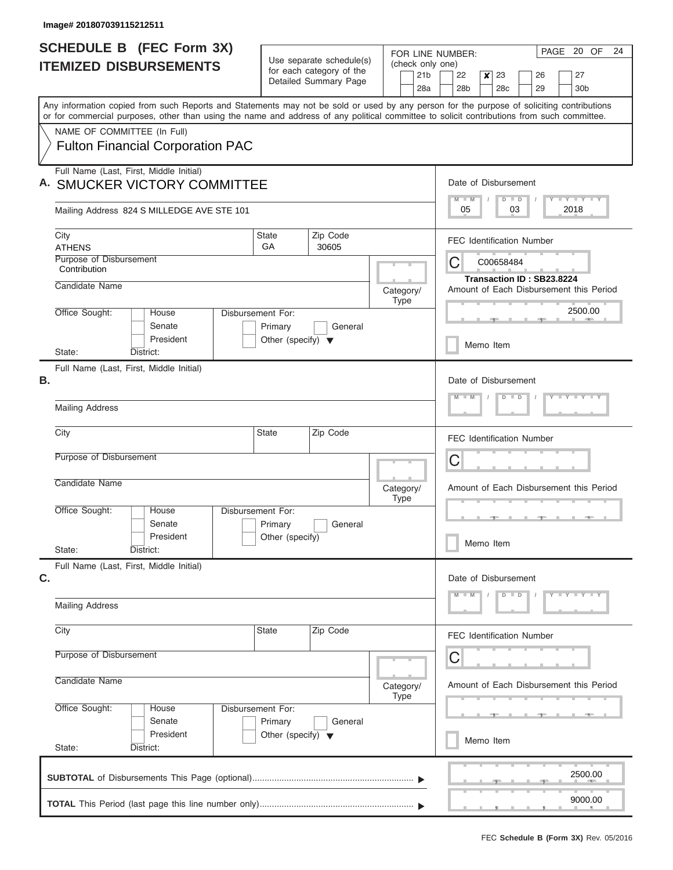J

| <b>SCHEDULE B (FEC Form 3X)</b>                                                                                                                                                                                                                                                         |                                         |                                                      | FOR LINE NUMBER:                    | 20 OF<br>24<br>PAGE                                        |  |  |  |  |  |  |  |  |  |  |  |
|-----------------------------------------------------------------------------------------------------------------------------------------------------------------------------------------------------------------------------------------------------------------------------------------|-----------------------------------------|------------------------------------------------------|-------------------------------------|------------------------------------------------------------|--|--|--|--|--|--|--|--|--|--|--|
| <b>ITEMIZED DISBURSEMENTS</b>                                                                                                                                                                                                                                                           |                                         | Use separate schedule(s)<br>for each category of the | (check only one)<br>21 <sub>b</sub> | 23<br>27<br>22<br>$\boldsymbol{x}$<br>26                   |  |  |  |  |  |  |  |  |  |  |  |
|                                                                                                                                                                                                                                                                                         |                                         | Detailed Summary Page                                | 28a                                 | 29<br>28 <sub>b</sub><br>28c<br>30 <sub>b</sub>            |  |  |  |  |  |  |  |  |  |  |  |
| Any information copied from such Reports and Statements may not be sold or used by any person for the purpose of soliciting contributions<br>or for commercial purposes, other than using the name and address of any political committee to solicit contributions from such committee. |                                         |                                                      |                                     |                                                            |  |  |  |  |  |  |  |  |  |  |  |
| NAME OF COMMITTEE (In Full)                                                                                                                                                                                                                                                             |                                         |                                                      |                                     |                                                            |  |  |  |  |  |  |  |  |  |  |  |
| <b>Fulton Financial Corporation PAC</b>                                                                                                                                                                                                                                                 |                                         |                                                      |                                     |                                                            |  |  |  |  |  |  |  |  |  |  |  |
| Full Name (Last, First, Middle Initial)<br><b>SMUCKER VICTORY COMMITTEE</b>                                                                                                                                                                                                             |                                         |                                                      |                                     | Date of Disbursement<br>Y LY LY LY<br>$M$ $M$<br>$D$ $D$   |  |  |  |  |  |  |  |  |  |  |  |
| Mailing Address 824 S MILLEDGE AVE STE 101                                                                                                                                                                                                                                              |                                         |                                                      |                                     | 05<br>03<br>2018                                           |  |  |  |  |  |  |  |  |  |  |  |
| City<br><b>ATHENS</b>                                                                                                                                                                                                                                                                   | <b>State</b><br><b>GA</b>               | Zip Code<br>30605                                    |                                     | <b>FEC Identification Number</b>                           |  |  |  |  |  |  |  |  |  |  |  |
| Purpose of Disbursement<br>Contribution                                                                                                                                                                                                                                                 |                                         |                                                      |                                     | C00658484<br>Ĉ<br>Transaction ID: SB23.8224                |  |  |  |  |  |  |  |  |  |  |  |
| Candidate Name                                                                                                                                                                                                                                                                          |                                         |                                                      | Category/<br><b>Type</b>            | Amount of Each Disbursement this Period                    |  |  |  |  |  |  |  |  |  |  |  |
| Office Sought:<br>House<br>Senate                                                                                                                                                                                                                                                       | Disbursement For:<br>Primary            | General                                              |                                     | 2500.00                                                    |  |  |  |  |  |  |  |  |  |  |  |
| President<br>District:<br>State:                                                                                                                                                                                                                                                        | Other (specify) $\blacktriangledown$    |                                                      |                                     | Memo Item                                                  |  |  |  |  |  |  |  |  |  |  |  |
| Full Name (Last, First, Middle Initial)                                                                                                                                                                                                                                                 |                                         |                                                      |                                     |                                                            |  |  |  |  |  |  |  |  |  |  |  |
| В.                                                                                                                                                                                                                                                                                      |                                         |                                                      |                                     | Date of Disbursement<br>Y FY FY FY<br>$M - M$<br>$D$ $D$   |  |  |  |  |  |  |  |  |  |  |  |
| <b>Mailing Address</b>                                                                                                                                                                                                                                                                  |                                         |                                                      |                                     |                                                            |  |  |  |  |  |  |  |  |  |  |  |
| City                                                                                                                                                                                                                                                                                    | <b>State</b>                            | Zip Code                                             |                                     | <b>FEC Identification Number</b>                           |  |  |  |  |  |  |  |  |  |  |  |
| Purpose of Disbursement                                                                                                                                                                                                                                                                 |                                         |                                                      |                                     | C                                                          |  |  |  |  |  |  |  |  |  |  |  |
| Candidate Name                                                                                                                                                                                                                                                                          |                                         |                                                      | Category/<br><b>Type</b>            | Amount of Each Disbursement this Period                    |  |  |  |  |  |  |  |  |  |  |  |
| Office Sought:<br>House<br>Senate                                                                                                                                                                                                                                                       | Disbursement For:<br>Primary            | General                                              |                                     |                                                            |  |  |  |  |  |  |  |  |  |  |  |
| President<br>State:<br>District:                                                                                                                                                                                                                                                        | Other (specify)                         |                                                      |                                     | Memo Item                                                  |  |  |  |  |  |  |  |  |  |  |  |
| Full Name (Last, First, Middle Initial)                                                                                                                                                                                                                                                 |                                         |                                                      |                                     |                                                            |  |  |  |  |  |  |  |  |  |  |  |
| C.                                                                                                                                                                                                                                                                                      |                                         |                                                      |                                     | Date of Disbursement<br>$Y = Y = Y = Y = I - Y$<br>$D$ $D$ |  |  |  |  |  |  |  |  |  |  |  |
| <b>Mailing Address</b>                                                                                                                                                                                                                                                                  |                                         |                                                      |                                     |                                                            |  |  |  |  |  |  |  |  |  |  |  |
| City                                                                                                                                                                                                                                                                                    | <b>State</b>                            | Zip Code                                             |                                     | <b>FEC Identification Number</b>                           |  |  |  |  |  |  |  |  |  |  |  |
| Purpose of Disbursement                                                                                                                                                                                                                                                                 |                                         |                                                      |                                     | С                                                          |  |  |  |  |  |  |  |  |  |  |  |
| Candidate Name                                                                                                                                                                                                                                                                          | Amount of Each Disbursement this Period |                                                      |                                     |                                                            |  |  |  |  |  |  |  |  |  |  |  |
| Office Sought:<br>House<br>Senate                                                                                                                                                                                                                                                       | Disbursement For:<br>Primary            | General                                              |                                     |                                                            |  |  |  |  |  |  |  |  |  |  |  |
| President<br>State:<br>District:                                                                                                                                                                                                                                                        | Other (specify) $\blacktriangledown$    |                                                      |                                     | Memo Item                                                  |  |  |  |  |  |  |  |  |  |  |  |
|                                                                                                                                                                                                                                                                                         |                                         |                                                      |                                     |                                                            |  |  |  |  |  |  |  |  |  |  |  |
|                                                                                                                                                                                                                                                                                         |                                         |                                                      |                                     | 2500.00                                                    |  |  |  |  |  |  |  |  |  |  |  |
|                                                                                                                                                                                                                                                                                         |                                         |                                                      |                                     | 9000.00                                                    |  |  |  |  |  |  |  |  |  |  |  |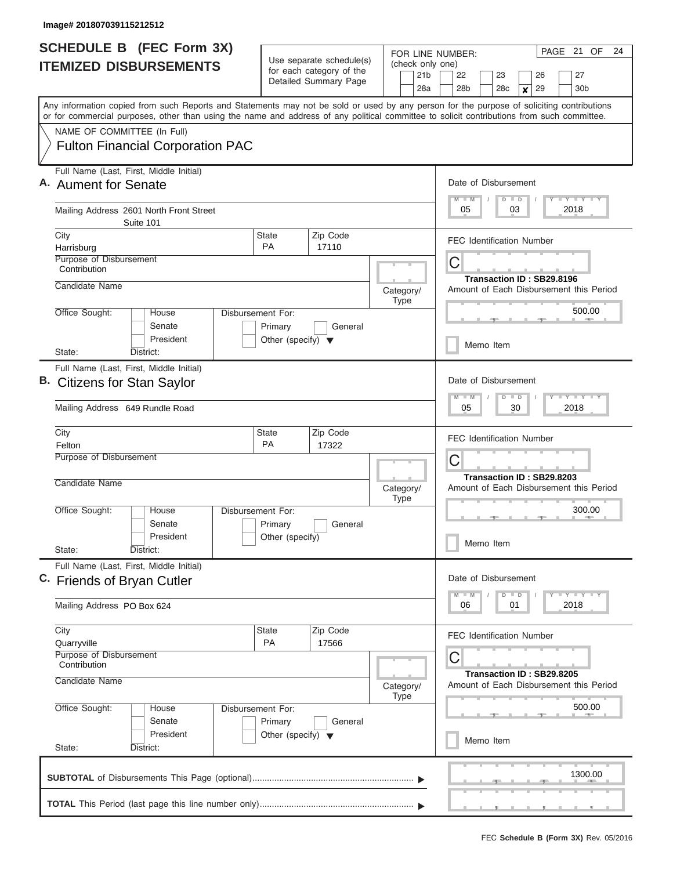| SCHEDULE B (FEC Form 3X)<br><b>ITEMIZED DISBURSEMENTS</b>                                                                                                                                                                                                                               | Use separate schedule(s)<br>for each category of the                            | FOR LINE NUMBER:<br>(check only one)                                      | PAGE 21 OF<br>24                                                                         |  |  |  |  |  |  |  |  |
|-----------------------------------------------------------------------------------------------------------------------------------------------------------------------------------------------------------------------------------------------------------------------------------------|---------------------------------------------------------------------------------|---------------------------------------------------------------------------|------------------------------------------------------------------------------------------|--|--|--|--|--|--|--|--|
|                                                                                                                                                                                                                                                                                         | Detailed Summary Page                                                           | 21 <sub>b</sub><br>28a                                                    | 22<br>23<br>26<br>27<br>28 <sub>b</sub><br>28 <sub>c</sub><br>29<br>30 <sub>b</sub><br>× |  |  |  |  |  |  |  |  |
| Any information copied from such Reports and Statements may not be sold or used by any person for the purpose of soliciting contributions<br>or for commercial purposes, other than using the name and address of any political committee to solicit contributions from such committee. |                                                                                 |                                                                           |                                                                                          |  |  |  |  |  |  |  |  |
| NAME OF COMMITTEE (In Full)<br><b>Fulton Financial Corporation PAC</b>                                                                                                                                                                                                                  |                                                                                 |                                                                           |                                                                                          |  |  |  |  |  |  |  |  |
| Full Name (Last, First, Middle Initial)<br>A. Aument for Senate                                                                                                                                                                                                                         |                                                                                 |                                                                           | Date of Disbursement<br><b>LY LY LY</b><br>$M$ $M$<br>$D$ $D$                            |  |  |  |  |  |  |  |  |
| Mailing Address 2601 North Front Street<br>Suite 101                                                                                                                                                                                                                                    |                                                                                 |                                                                           | 05<br>03<br>2018                                                                         |  |  |  |  |  |  |  |  |
| City<br>Harrisburg                                                                                                                                                                                                                                                                      | Zip Code<br><b>State</b><br><b>PA</b><br>17110                                  |                                                                           | <b>FEC Identification Number</b>                                                         |  |  |  |  |  |  |  |  |
| Purpose of Disbursement<br>Contribution<br>Candidate Name                                                                                                                                                                                                                               | Category/                                                                       | С<br>Transaction ID: SB29.8196<br>Amount of Each Disbursement this Period |                                                                                          |  |  |  |  |  |  |  |  |
| Office Sought:<br>House<br>Disbursement For:<br>Senate<br>President                                                                                                                                                                                                                     | <b>Type</b>                                                                     | 500.00                                                                    |                                                                                          |  |  |  |  |  |  |  |  |
| District:<br>State:                                                                                                                                                                                                                                                                     | Other (specify) $\blacktriangledown$                                            |                                                                           | Memo Item                                                                                |  |  |  |  |  |  |  |  |
| Full Name (Last, First, Middle Initial)<br>В.<br><b>Citizens for Stan Saylor</b>                                                                                                                                                                                                        |                                                                                 |                                                                           | Date of Disbursement<br>$M - M$<br>$\Box$<br>$\overline{D}$                              |  |  |  |  |  |  |  |  |
| Mailing Address 649 Rundle Road                                                                                                                                                                                                                                                         |                                                                                 |                                                                           | 05<br>30<br>2018                                                                         |  |  |  |  |  |  |  |  |
| City<br>Felton                                                                                                                                                                                                                                                                          | Zip Code<br><b>State</b><br><b>PA</b><br>17322                                  |                                                                           | <b>FEC Identification Number</b>                                                         |  |  |  |  |  |  |  |  |
| Purpose of Disbursement<br>Candidate Name                                                                                                                                                                                                                                               |                                                                                 |                                                                           | С<br>Transaction ID: SB29.8203                                                           |  |  |  |  |  |  |  |  |
|                                                                                                                                                                                                                                                                                         |                                                                                 | Category/<br><b>Type</b>                                                  | Amount of Each Disbursement this Period                                                  |  |  |  |  |  |  |  |  |
| Office Sought:<br>House<br>Senate<br>President                                                                                                                                                                                                                                          | Disbursement For:<br>Primary<br>General<br>Other (specify)                      |                                                                           | 300.00<br>Memo Item                                                                      |  |  |  |  |  |  |  |  |
| State:<br>District:<br>Full Name (Last, First, Middle Initial)                                                                                                                                                                                                                          |                                                                                 |                                                                           |                                                                                          |  |  |  |  |  |  |  |  |
| C. Friends of Bryan Cutler                                                                                                                                                                                                                                                              |                                                                                 |                                                                           | Date of Disbursement<br>$T - Y$ $T - Y$<br>$M - M$<br>$D$ $D$                            |  |  |  |  |  |  |  |  |
| Mailing Address PO Box 624                                                                                                                                                                                                                                                              |                                                                                 |                                                                           | 2018<br>06<br>01                                                                         |  |  |  |  |  |  |  |  |
| City<br>Quarryville<br>Purpose of Disbursement                                                                                                                                                                                                                                          | Zip Code<br><b>State</b><br><b>PA</b><br>17566                                  |                                                                           | <b>FEC Identification Number</b><br>С                                                    |  |  |  |  |  |  |  |  |
| Contribution<br>Candidate Name                                                                                                                                                                                                                                                          | Category/<br><b>Type</b>                                                        | Transaction ID: SB29.8205<br>Amount of Each Disbursement this Period      |                                                                                          |  |  |  |  |  |  |  |  |
| Office Sought:<br>House<br>Senate<br>President                                                                                                                                                                                                                                          | Disbursement For:<br>Primary<br>General<br>Other (specify) $\blacktriangledown$ |                                                                           | 500.00                                                                                   |  |  |  |  |  |  |  |  |
| State:<br>District:                                                                                                                                                                                                                                                                     |                                                                                 |                                                                           | Memo Item                                                                                |  |  |  |  |  |  |  |  |
|                                                                                                                                                                                                                                                                                         |                                                                                 |                                                                           | 1300.00                                                                                  |  |  |  |  |  |  |  |  |
|                                                                                                                                                                                                                                                                                         |                                                                                 |                                                                           | ____________________                                                                     |  |  |  |  |  |  |  |  |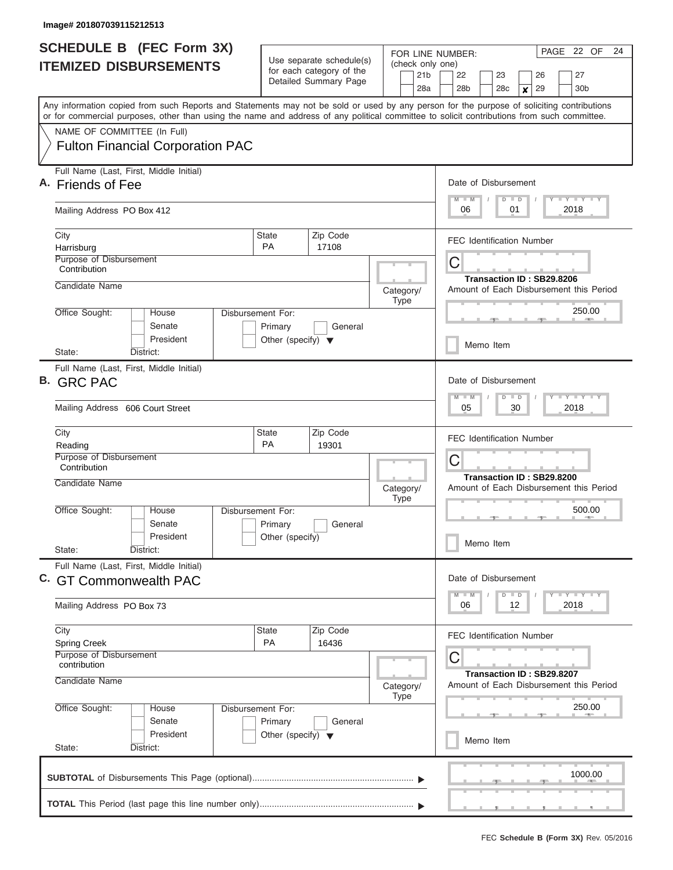|                    | <b>SCHEDULE B (FEC Form 3X)</b><br>Use separate schedule(s)<br>(check only one)<br><b>ITEMIZED DISBURSEMENTS</b><br>for each category of the<br>21 <sub>b</sub><br>Detailed Summary Page |                                                                      |                   |                          | PAGE 22 OF<br>24<br>FOR LINE NUMBER:<br>22<br>27<br>23<br>26                                                                                                                                                                 |  |  |  |  |  |  |  |  |  |  |
|--------------------|------------------------------------------------------------------------------------------------------------------------------------------------------------------------------------------|----------------------------------------------------------------------|-------------------|--------------------------|------------------------------------------------------------------------------------------------------------------------------------------------------------------------------------------------------------------------------|--|--|--|--|--|--|--|--|--|--|
|                    | or for commercial purposes, other than using the name and address of any political committee to solicit contributions from such committee.                                               |                                                                      |                   | 28a                      | 28 <sub>b</sub><br>28 <sub>c</sub><br>29<br>30 <sub>b</sub><br>$\boldsymbol{x}$<br>Any information copied from such Reports and Statements may not be sold or used by any person for the purpose of soliciting contributions |  |  |  |  |  |  |  |  |  |  |
|                    | NAME OF COMMITTEE (In Full)<br><b>Fulton Financial Corporation PAC</b>                                                                                                                   |                                                                      |                   |                          |                                                                                                                                                                                                                              |  |  |  |  |  |  |  |  |  |  |
|                    | Full Name (Last, First, Middle Initial)<br>A. Friends of Fee                                                                                                                             |                                                                      |                   |                          | Date of Disbursement<br>$M$ $M$<br>Y LY LY LY<br>$D$ $D$                                                                                                                                                                     |  |  |  |  |  |  |  |  |  |  |
|                    | Mailing Address PO Box 412                                                                                                                                                               |                                                                      |                   |                          | 06<br>01<br>2018                                                                                                                                                                                                             |  |  |  |  |  |  |  |  |  |  |
| City<br>Harrisburg | Purpose of Disbursement                                                                                                                                                                  | <b>State</b><br><b>PA</b>                                            | Zip Code<br>17108 |                          | <b>FEC Identification Number</b>                                                                                                                                                                                             |  |  |  |  |  |  |  |  |  |  |
|                    | Contribution<br>Candidate Name                                                                                                                                                           |                                                                      |                   | Category/                | С<br>Transaction ID: SB29.8206<br>Amount of Each Disbursement this Period                                                                                                                                                    |  |  |  |  |  |  |  |  |  |  |
|                    | Office Sought:<br>House<br>Senate<br>President                                                                                                                                           | Disbursement For:<br>Primary<br>Other (specify) $\blacktriangledown$ | General           | Type                     | 250.00                                                                                                                                                                                                                       |  |  |  |  |  |  |  |  |  |  |
| State:             | District:                                                                                                                                                                                |                                                                      |                   |                          | Memo Item                                                                                                                                                                                                                    |  |  |  |  |  |  |  |  |  |  |
| B. GRC PAC         | Full Name (Last, First, Middle Initial)                                                                                                                                                  |                                                                      |                   |                          | Date of Disbursement<br>$M - M$<br>$T - Y$ $T - Y$ $T - Y$<br>$D$ $D$                                                                                                                                                        |  |  |  |  |  |  |  |  |  |  |
|                    | Mailing Address 606 Court Street                                                                                                                                                         |                                                                      |                   |                          | 05<br>30<br>2018                                                                                                                                                                                                             |  |  |  |  |  |  |  |  |  |  |
| City<br>Reading    | Purpose of Disbursement<br>Contribution                                                                                                                                                  | <b>State</b><br><b>PA</b>                                            | Zip Code<br>19301 |                          | <b>FEC Identification Number</b><br>С                                                                                                                                                                                        |  |  |  |  |  |  |  |  |  |  |
|                    | Candidate Name                                                                                                                                                                           |                                                                      |                   | Category/<br><b>Type</b> | Transaction ID: SB29.8200<br>Amount of Each Disbursement this Period                                                                                                                                                         |  |  |  |  |  |  |  |  |  |  |
| State:             | Office Sought:<br>House<br>Senate<br>President<br>District:                                                                                                                              | Disbursement For:<br>Primary<br>Other (specify)                      | General           |                          | 500.00<br><b>AND I</b><br>一<br>Memo Item                                                                                                                                                                                     |  |  |  |  |  |  |  |  |  |  |
|                    | Full Name (Last, First, Middle Initial)<br>C. GT Commonwealth PAC                                                                                                                        |                                                                      |                   |                          | Date of Disbursement<br><b>LY LY LY</b><br>$M$ $M$<br>$D$ $D$                                                                                                                                                                |  |  |  |  |  |  |  |  |  |  |
|                    | Mailing Address PO Box 73                                                                                                                                                                |                                                                      |                   |                          | 06<br>12<br>2018                                                                                                                                                                                                             |  |  |  |  |  |  |  |  |  |  |
| City               | <b>Spring Creek</b><br>Purpose of Disbursement<br>contribution                                                                                                                           | State<br><b>PA</b>                                                   | Zip Code<br>16436 |                          | <b>FEC Identification Number</b><br>С                                                                                                                                                                                        |  |  |  |  |  |  |  |  |  |  |
|                    | Candidate Name                                                                                                                                                                           |                                                                      |                   | Category/<br>Type        | Transaction ID: SB29.8207<br>Amount of Each Disbursement this Period                                                                                                                                                         |  |  |  |  |  |  |  |  |  |  |
| State:             | Office Sought:<br>House<br>Senate<br>President<br>District:                                                                                                                              | Disbursement For:<br>Primary<br>Other (specify) $\blacktriangledown$ | General           |                          | 250.00<br><b>AND A</b><br>Memo Item                                                                                                                                                                                          |  |  |  |  |  |  |  |  |  |  |
|                    |                                                                                                                                                                                          |                                                                      |                   |                          | 1000.00                                                                                                                                                                                                                      |  |  |  |  |  |  |  |  |  |  |
|                    |                                                                                                                                                                                          |                                                                      |                   |                          |                                                                                                                                                                                                                              |  |  |  |  |  |  |  |  |  |  |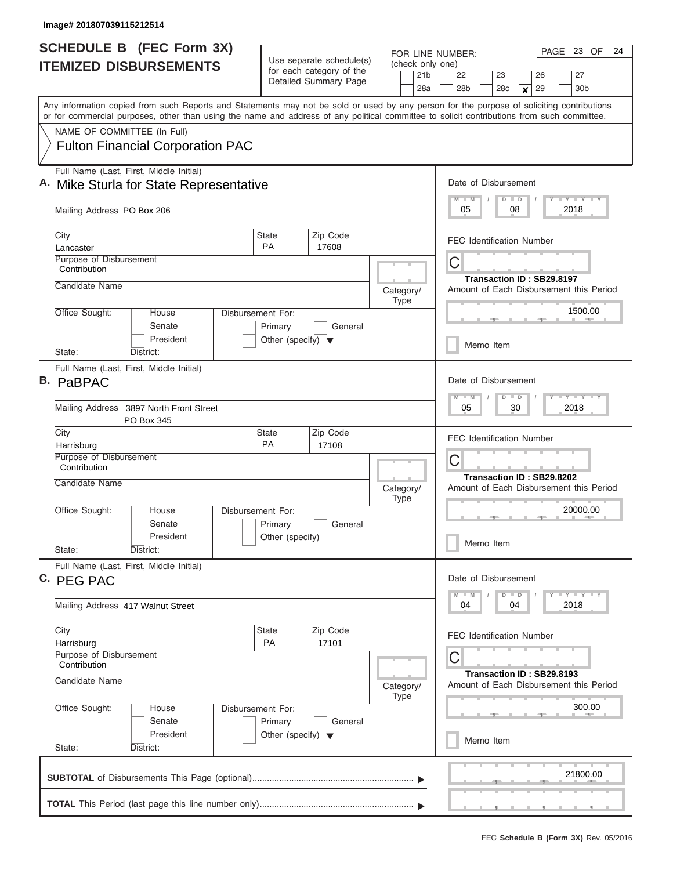J

| Use separate schedule(s)<br>(check only one)<br><b>ITEMIZED DISBURSEMENTS</b><br>for each category of the<br>21 <sub>b</sub><br>22<br>26<br>27<br>23<br>Detailed Summary Page<br>28a<br>28 <sub>b</sub><br>28 <sub>c</sub><br>29<br>30 <sub>b</sub><br>X<br>Any information copied from such Reports and Statements may not be sold or used by any person for the purpose of soliciting contributions<br>or for commercial purposes, other than using the name and address of any political committee to solicit contributions from such committee.<br>NAME OF COMMITTEE (In Full)<br><b>Fulton Financial Corporation PAC</b><br>Full Name (Last, First, Middle Initial)<br>Date of Disbursement<br>A. Mike Sturla for State Representative<br>$T - Y$ $T - Y$ $T - Y$<br>$M$ $M$<br>$D$ $D$<br>2018<br>Mailing Address PO Box 206<br>05<br>08<br><b>State</b><br>Zip Code<br>City<br><b>FEC Identification Number</b><br><b>PA</b><br>17608<br>Lancaster<br>Purpose of Disbursement<br>C<br>Contribution<br>Transaction ID: SB29.8197<br>Candidate Name<br>Amount of Each Disbursement this Period<br>Category/<br>Type<br>1500.00<br>Office Sought:<br>Disbursement For:<br>House<br>Senate<br>Primary<br>General<br>President<br>Other (specify) $\blacktriangledown$<br>Memo Item<br>State:<br>District:<br>Full Name (Last, First, Middle Initial)<br><b>B.</b> PaBPAC<br>Date of Disbursement<br>$T = Y - T - Y - T - Y$<br>$M - M$<br>$D$ $D$<br>Mailing Address 3897 North Front Street<br>05<br>30<br>2018<br>PO Box 345<br>State<br>Zip Code<br>City<br><b>FEC Identification Number</b><br><b>PA</b><br>Harrisburg<br>17108<br>Purpose of Disbursement<br>C<br>Contribution<br>Transaction ID: SB29.8202<br>Candidate Name<br>Amount of Each Disbursement this Period<br>Category/<br><b>Type</b><br>Office Sought:<br>20000.00<br>Disbursement For:<br>House<br>Senate<br>Primary<br>General<br>President<br>Other (specify)<br>Memo Item<br>State:<br>District:<br>Full Name (Last, First, Middle Initial)<br>C. PEG PAC<br>Date of Disbursement<br>$T - Y$ $T - Y$ $T - Y$<br>$M - M$<br>$D$ $D$<br>04<br>2018<br>Mailing Address 417 Walnut Street<br>04<br>Zip Code<br>City<br>State<br><b>FEC Identification Number</b><br>PA<br>17101<br>Harrisburg<br>Purpose of Disbursement<br>С<br>Contribution<br>Transaction ID: SB29.8193<br>Candidate Name<br>Amount of Each Disbursement this Period<br>Category/<br><b>Type</b><br>300.00<br>Office Sought:<br>House<br>Disbursement For:<br>Senate<br>Primary<br>General<br>President<br>Other (specify) $\blacktriangledown$<br>Memo Item<br>State:<br>District:<br>21800.00 | <b>SCHEDULE B</b> (FEC Form 3X) |  |  |  |  |  | FOR LINE NUMBER: |  |  |  |  |  |  | PAGE 23 OF |  | 24 |  |  |  |
|--------------------------------------------------------------------------------------------------------------------------------------------------------------------------------------------------------------------------------------------------------------------------------------------------------------------------------------------------------------------------------------------------------------------------------------------------------------------------------------------------------------------------------------------------------------------------------------------------------------------------------------------------------------------------------------------------------------------------------------------------------------------------------------------------------------------------------------------------------------------------------------------------------------------------------------------------------------------------------------------------------------------------------------------------------------------------------------------------------------------------------------------------------------------------------------------------------------------------------------------------------------------------------------------------------------------------------------------------------------------------------------------------------------------------------------------------------------------------------------------------------------------------------------------------------------------------------------------------------------------------------------------------------------------------------------------------------------------------------------------------------------------------------------------------------------------------------------------------------------------------------------------------------------------------------------------------------------------------------------------------------------------------------------------------------------------------------------------------------------------------------------------------------------------------------------------------------------------------------------------------------------------------------------------------------------------------------------------------------------------------------------------------------------------------------------------------------------------------------------------------------------------------------------------------------------------------------------------------------------------------------------------|---------------------------------|--|--|--|--|--|------------------|--|--|--|--|--|--|------------|--|----|--|--|--|
|                                                                                                                                                                                                                                                                                                                                                                                                                                                                                                                                                                                                                                                                                                                                                                                                                                                                                                                                                                                                                                                                                                                                                                                                                                                                                                                                                                                                                                                                                                                                                                                                                                                                                                                                                                                                                                                                                                                                                                                                                                                                                                                                                                                                                                                                                                                                                                                                                                                                                                                                                                                                                                            |                                 |  |  |  |  |  |                  |  |  |  |  |  |  |            |  |    |  |  |  |
|                                                                                                                                                                                                                                                                                                                                                                                                                                                                                                                                                                                                                                                                                                                                                                                                                                                                                                                                                                                                                                                                                                                                                                                                                                                                                                                                                                                                                                                                                                                                                                                                                                                                                                                                                                                                                                                                                                                                                                                                                                                                                                                                                                                                                                                                                                                                                                                                                                                                                                                                                                                                                                            |                                 |  |  |  |  |  |                  |  |  |  |  |  |  |            |  |    |  |  |  |
|                                                                                                                                                                                                                                                                                                                                                                                                                                                                                                                                                                                                                                                                                                                                                                                                                                                                                                                                                                                                                                                                                                                                                                                                                                                                                                                                                                                                                                                                                                                                                                                                                                                                                                                                                                                                                                                                                                                                                                                                                                                                                                                                                                                                                                                                                                                                                                                                                                                                                                                                                                                                                                            |                                 |  |  |  |  |  |                  |  |  |  |  |  |  |            |  |    |  |  |  |
|                                                                                                                                                                                                                                                                                                                                                                                                                                                                                                                                                                                                                                                                                                                                                                                                                                                                                                                                                                                                                                                                                                                                                                                                                                                                                                                                                                                                                                                                                                                                                                                                                                                                                                                                                                                                                                                                                                                                                                                                                                                                                                                                                                                                                                                                                                                                                                                                                                                                                                                                                                                                                                            |                                 |  |  |  |  |  |                  |  |  |  |  |  |  |            |  |    |  |  |  |
|                                                                                                                                                                                                                                                                                                                                                                                                                                                                                                                                                                                                                                                                                                                                                                                                                                                                                                                                                                                                                                                                                                                                                                                                                                                                                                                                                                                                                                                                                                                                                                                                                                                                                                                                                                                                                                                                                                                                                                                                                                                                                                                                                                                                                                                                                                                                                                                                                                                                                                                                                                                                                                            |                                 |  |  |  |  |  |                  |  |  |  |  |  |  |            |  |    |  |  |  |
|                                                                                                                                                                                                                                                                                                                                                                                                                                                                                                                                                                                                                                                                                                                                                                                                                                                                                                                                                                                                                                                                                                                                                                                                                                                                                                                                                                                                                                                                                                                                                                                                                                                                                                                                                                                                                                                                                                                                                                                                                                                                                                                                                                                                                                                                                                                                                                                                                                                                                                                                                                                                                                            |                                 |  |  |  |  |  |                  |  |  |  |  |  |  |            |  |    |  |  |  |
|                                                                                                                                                                                                                                                                                                                                                                                                                                                                                                                                                                                                                                                                                                                                                                                                                                                                                                                                                                                                                                                                                                                                                                                                                                                                                                                                                                                                                                                                                                                                                                                                                                                                                                                                                                                                                                                                                                                                                                                                                                                                                                                                                                                                                                                                                                                                                                                                                                                                                                                                                                                                                                            |                                 |  |  |  |  |  |                  |  |  |  |  |  |  |            |  |    |  |  |  |
|                                                                                                                                                                                                                                                                                                                                                                                                                                                                                                                                                                                                                                                                                                                                                                                                                                                                                                                                                                                                                                                                                                                                                                                                                                                                                                                                                                                                                                                                                                                                                                                                                                                                                                                                                                                                                                                                                                                                                                                                                                                                                                                                                                                                                                                                                                                                                                                                                                                                                                                                                                                                                                            |                                 |  |  |  |  |  |                  |  |  |  |  |  |  |            |  |    |  |  |  |
|                                                                                                                                                                                                                                                                                                                                                                                                                                                                                                                                                                                                                                                                                                                                                                                                                                                                                                                                                                                                                                                                                                                                                                                                                                                                                                                                                                                                                                                                                                                                                                                                                                                                                                                                                                                                                                                                                                                                                                                                                                                                                                                                                                                                                                                                                                                                                                                                                                                                                                                                                                                                                                            |                                 |  |  |  |  |  |                  |  |  |  |  |  |  |            |  |    |  |  |  |
|                                                                                                                                                                                                                                                                                                                                                                                                                                                                                                                                                                                                                                                                                                                                                                                                                                                                                                                                                                                                                                                                                                                                                                                                                                                                                                                                                                                                                                                                                                                                                                                                                                                                                                                                                                                                                                                                                                                                                                                                                                                                                                                                                                                                                                                                                                                                                                                                                                                                                                                                                                                                                                            |                                 |  |  |  |  |  |                  |  |  |  |  |  |  |            |  |    |  |  |  |
|                                                                                                                                                                                                                                                                                                                                                                                                                                                                                                                                                                                                                                                                                                                                                                                                                                                                                                                                                                                                                                                                                                                                                                                                                                                                                                                                                                                                                                                                                                                                                                                                                                                                                                                                                                                                                                                                                                                                                                                                                                                                                                                                                                                                                                                                                                                                                                                                                                                                                                                                                                                                                                            |                                 |  |  |  |  |  |                  |  |  |  |  |  |  |            |  |    |  |  |  |
|                                                                                                                                                                                                                                                                                                                                                                                                                                                                                                                                                                                                                                                                                                                                                                                                                                                                                                                                                                                                                                                                                                                                                                                                                                                                                                                                                                                                                                                                                                                                                                                                                                                                                                                                                                                                                                                                                                                                                                                                                                                                                                                                                                                                                                                                                                                                                                                                                                                                                                                                                                                                                                            |                                 |  |  |  |  |  |                  |  |  |  |  |  |  |            |  |    |  |  |  |
|                                                                                                                                                                                                                                                                                                                                                                                                                                                                                                                                                                                                                                                                                                                                                                                                                                                                                                                                                                                                                                                                                                                                                                                                                                                                                                                                                                                                                                                                                                                                                                                                                                                                                                                                                                                                                                                                                                                                                                                                                                                                                                                                                                                                                                                                                                                                                                                                                                                                                                                                                                                                                                            |                                 |  |  |  |  |  |                  |  |  |  |  |  |  |            |  |    |  |  |  |
|                                                                                                                                                                                                                                                                                                                                                                                                                                                                                                                                                                                                                                                                                                                                                                                                                                                                                                                                                                                                                                                                                                                                                                                                                                                                                                                                                                                                                                                                                                                                                                                                                                                                                                                                                                                                                                                                                                                                                                                                                                                                                                                                                                                                                                                                                                                                                                                                                                                                                                                                                                                                                                            |                                 |  |  |  |  |  |                  |  |  |  |  |  |  |            |  |    |  |  |  |
|                                                                                                                                                                                                                                                                                                                                                                                                                                                                                                                                                                                                                                                                                                                                                                                                                                                                                                                                                                                                                                                                                                                                                                                                                                                                                                                                                                                                                                                                                                                                                                                                                                                                                                                                                                                                                                                                                                                                                                                                                                                                                                                                                                                                                                                                                                                                                                                                                                                                                                                                                                                                                                            |                                 |  |  |  |  |  |                  |  |  |  |  |  |  |            |  |    |  |  |  |
|                                                                                                                                                                                                                                                                                                                                                                                                                                                                                                                                                                                                                                                                                                                                                                                                                                                                                                                                                                                                                                                                                                                                                                                                                                                                                                                                                                                                                                                                                                                                                                                                                                                                                                                                                                                                                                                                                                                                                                                                                                                                                                                                                                                                                                                                                                                                                                                                                                                                                                                                                                                                                                            |                                 |  |  |  |  |  |                  |  |  |  |  |  |  |            |  |    |  |  |  |
|                                                                                                                                                                                                                                                                                                                                                                                                                                                                                                                                                                                                                                                                                                                                                                                                                                                                                                                                                                                                                                                                                                                                                                                                                                                                                                                                                                                                                                                                                                                                                                                                                                                                                                                                                                                                                                                                                                                                                                                                                                                                                                                                                                                                                                                                                                                                                                                                                                                                                                                                                                                                                                            |                                 |  |  |  |  |  |                  |  |  |  |  |  |  |            |  |    |  |  |  |
|                                                                                                                                                                                                                                                                                                                                                                                                                                                                                                                                                                                                                                                                                                                                                                                                                                                                                                                                                                                                                                                                                                                                                                                                                                                                                                                                                                                                                                                                                                                                                                                                                                                                                                                                                                                                                                                                                                                                                                                                                                                                                                                                                                                                                                                                                                                                                                                                                                                                                                                                                                                                                                            |                                 |  |  |  |  |  |                  |  |  |  |  |  |  |            |  |    |  |  |  |
|                                                                                                                                                                                                                                                                                                                                                                                                                                                                                                                                                                                                                                                                                                                                                                                                                                                                                                                                                                                                                                                                                                                                                                                                                                                                                                                                                                                                                                                                                                                                                                                                                                                                                                                                                                                                                                                                                                                                                                                                                                                                                                                                                                                                                                                                                                                                                                                                                                                                                                                                                                                                                                            |                                 |  |  |  |  |  |                  |  |  |  |  |  |  |            |  |    |  |  |  |
|                                                                                                                                                                                                                                                                                                                                                                                                                                                                                                                                                                                                                                                                                                                                                                                                                                                                                                                                                                                                                                                                                                                                                                                                                                                                                                                                                                                                                                                                                                                                                                                                                                                                                                                                                                                                                                                                                                                                                                                                                                                                                                                                                                                                                                                                                                                                                                                                                                                                                                                                                                                                                                            |                                 |  |  |  |  |  |                  |  |  |  |  |  |  |            |  |    |  |  |  |
|                                                                                                                                                                                                                                                                                                                                                                                                                                                                                                                                                                                                                                                                                                                                                                                                                                                                                                                                                                                                                                                                                                                                                                                                                                                                                                                                                                                                                                                                                                                                                                                                                                                                                                                                                                                                                                                                                                                                                                                                                                                                                                                                                                                                                                                                                                                                                                                                                                                                                                                                                                                                                                            |                                 |  |  |  |  |  |                  |  |  |  |  |  |  |            |  |    |  |  |  |
|                                                                                                                                                                                                                                                                                                                                                                                                                                                                                                                                                                                                                                                                                                                                                                                                                                                                                                                                                                                                                                                                                                                                                                                                                                                                                                                                                                                                                                                                                                                                                                                                                                                                                                                                                                                                                                                                                                                                                                                                                                                                                                                                                                                                                                                                                                                                                                                                                                                                                                                                                                                                                                            |                                 |  |  |  |  |  |                  |  |  |  |  |  |  |            |  |    |  |  |  |
|                                                                                                                                                                                                                                                                                                                                                                                                                                                                                                                                                                                                                                                                                                                                                                                                                                                                                                                                                                                                                                                                                                                                                                                                                                                                                                                                                                                                                                                                                                                                                                                                                                                                                                                                                                                                                                                                                                                                                                                                                                                                                                                                                                                                                                                                                                                                                                                                                                                                                                                                                                                                                                            |                                 |  |  |  |  |  |                  |  |  |  |  |  |  |            |  |    |  |  |  |
|                                                                                                                                                                                                                                                                                                                                                                                                                                                                                                                                                                                                                                                                                                                                                                                                                                                                                                                                                                                                                                                                                                                                                                                                                                                                                                                                                                                                                                                                                                                                                                                                                                                                                                                                                                                                                                                                                                                                                                                                                                                                                                                                                                                                                                                                                                                                                                                                                                                                                                                                                                                                                                            |                                 |  |  |  |  |  |                  |  |  |  |  |  |  |            |  |    |  |  |  |
|                                                                                                                                                                                                                                                                                                                                                                                                                                                                                                                                                                                                                                                                                                                                                                                                                                                                                                                                                                                                                                                                                                                                                                                                                                                                                                                                                                                                                                                                                                                                                                                                                                                                                                                                                                                                                                                                                                                                                                                                                                                                                                                                                                                                                                                                                                                                                                                                                                                                                                                                                                                                                                            |                                 |  |  |  |  |  |                  |  |  |  |  |  |  |            |  |    |  |  |  |
|                                                                                                                                                                                                                                                                                                                                                                                                                                                                                                                                                                                                                                                                                                                                                                                                                                                                                                                                                                                                                                                                                                                                                                                                                                                                                                                                                                                                                                                                                                                                                                                                                                                                                                                                                                                                                                                                                                                                                                                                                                                                                                                                                                                                                                                                                                                                                                                                                                                                                                                                                                                                                                            |                                 |  |  |  |  |  |                  |  |  |  |  |  |  |            |  |    |  |  |  |
|                                                                                                                                                                                                                                                                                                                                                                                                                                                                                                                                                                                                                                                                                                                                                                                                                                                                                                                                                                                                                                                                                                                                                                                                                                                                                                                                                                                                                                                                                                                                                                                                                                                                                                                                                                                                                                                                                                                                                                                                                                                                                                                                                                                                                                                                                                                                                                                                                                                                                                                                                                                                                                            |                                 |  |  |  |  |  |                  |  |  |  |  |  |  |            |  |    |  |  |  |
|                                                                                                                                                                                                                                                                                                                                                                                                                                                                                                                                                                                                                                                                                                                                                                                                                                                                                                                                                                                                                                                                                                                                                                                                                                                                                                                                                                                                                                                                                                                                                                                                                                                                                                                                                                                                                                                                                                                                                                                                                                                                                                                                                                                                                                                                                                                                                                                                                                                                                                                                                                                                                                            |                                 |  |  |  |  |  |                  |  |  |  |  |  |  |            |  |    |  |  |  |